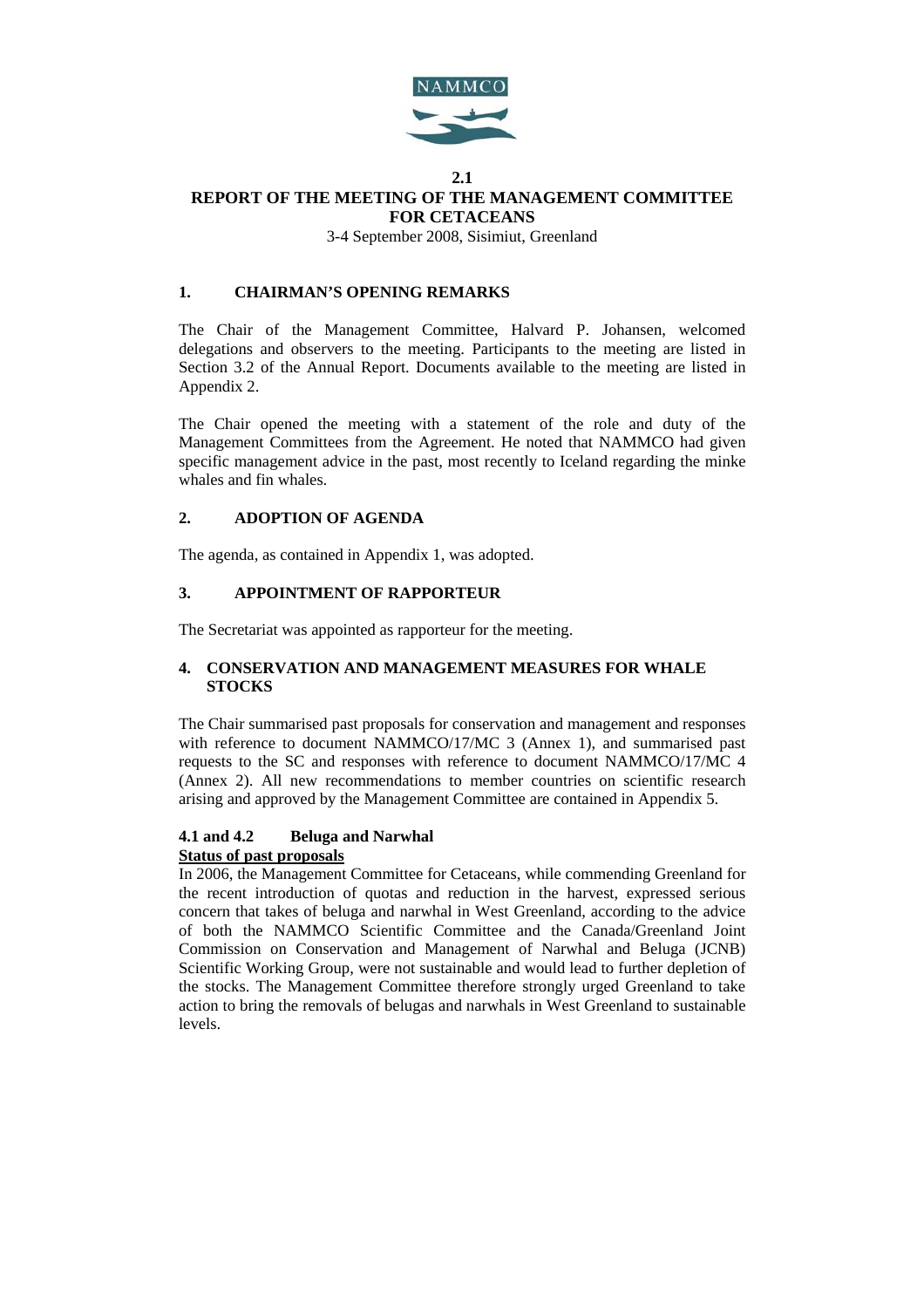

### **2.1 REPORT OF THE MEETING OF THE MANAGEMENT COMMITTEE FOR CETACEANS**

3-4 September 2008, Sisimiut, Greenland

## **1. CHAIRMAN'S OPENING REMARKS**

The Chair of the Management Committee, Halvard P. Johansen, welcomed delegations and observers to the meeting. Participants to the meeting are listed in Section 3.2 of the Annual Report. Documents available to the meeting are listed in Appendix 2.

The Chair opened the meeting with a statement of the role and duty of the Management Committees from the Agreement. He noted that NAMMCO had given specific management advice in the past, most recently to Iceland regarding the minke whales and fin whales.

## **2. ADOPTION OF AGENDA**

The agenda, as contained in Appendix 1, was adopted.

## **3. APPOINTMENT OF RAPPORTEUR**

The Secretariat was appointed as rapporteur for the meeting.

## **4. CONSERVATION AND MANAGEMENT MEASURES FOR WHALE STOCKS**

The Chair summarised past proposals for conservation and management and responses with reference to document NAMMCO/17/MC 3 (Annex 1), and summarised past requests to the SC and responses with reference to document NAMMCO/17/MC 4 (Annex 2). All new recommendations to member countries on scientific research arising and approved by the Management Committee are contained in Appendix 5.

## **4.1 and 4.2 Beluga and Narwhal Status of past proposals**

In 2006, the Management Committee for Cetaceans, while commending Greenland for the recent introduction of quotas and reduction in the harvest, expressed serious concern that takes of beluga and narwhal in West Greenland, according to the advice of both the NAMMCO Scientific Committee and the Canada/Greenland Joint Commission on Conservation and Management of Narwhal and Beluga (JCNB) Scientific Working Group, were not sustainable and would lead to further depletion of the stocks. The Management Committee therefore strongly urged Greenland to take action to bring the removals of belugas and narwhals in West Greenland to sustainable levels.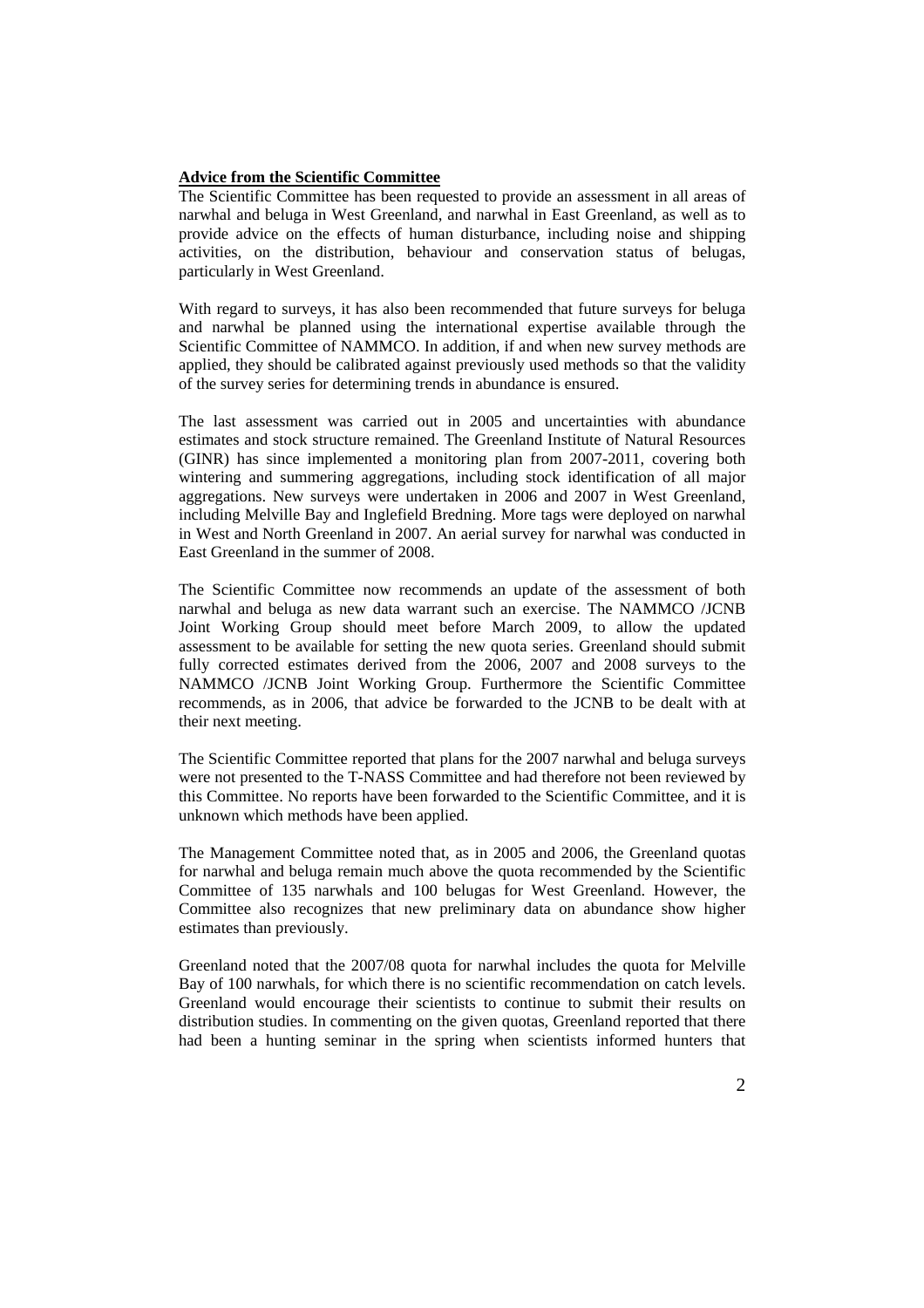### **Advice from the Scientific Committee**

The Scientific Committee has been requested to provide an assessment in all areas of narwhal and beluga in West Greenland, and narwhal in East Greenland, as well as to provide advice on the effects of human disturbance, including noise and shipping activities, on the distribution, behaviour and conservation status of belugas, particularly in West Greenland.

With regard to surveys, it has also been recommended that future surveys for beluga and narwhal be planned using the international expertise available through the Scientific Committee of NAMMCO. In addition, if and when new survey methods are applied, they should be calibrated against previously used methods so that the validity of the survey series for determining trends in abundance is ensured.

The last assessment was carried out in 2005 and uncertainties with abundance estimates and stock structure remained. The Greenland Institute of Natural Resources (GINR) has since implemented a monitoring plan from 2007-2011, covering both wintering and summering aggregations, including stock identification of all major aggregations. New surveys were undertaken in 2006 and 2007 in West Greenland, including Melville Bay and Inglefield Bredning. More tags were deployed on narwhal in West and North Greenland in 2007. An aerial survey for narwhal was conducted in East Greenland in the summer of 2008.

The Scientific Committee now recommends an update of the assessment of both narwhal and beluga as new data warrant such an exercise. The NAMMCO /JCNB Joint Working Group should meet before March 2009, to allow the updated assessment to be available for setting the new quota series. Greenland should submit fully corrected estimates derived from the 2006, 2007 and 2008 surveys to the NAMMCO /JCNB Joint Working Group. Furthermore the Scientific Committee recommends, as in 2006, that advice be forwarded to the JCNB to be dealt with at their next meeting.

The Scientific Committee reported that plans for the 2007 narwhal and beluga surveys were not presented to the T-NASS Committee and had therefore not been reviewed by this Committee. No reports have been forwarded to the Scientific Committee, and it is unknown which methods have been applied.

The Management Committee noted that, as in 2005 and 2006, the Greenland quotas for narwhal and beluga remain much above the quota recommended by the Scientific Committee of 135 narwhals and 100 belugas for West Greenland. However, the Committee also recognizes that new preliminary data on abundance show higher estimates than previously.

Greenland noted that the 2007/08 quota for narwhal includes the quota for Melville Bay of 100 narwhals, for which there is no scientific recommendation on catch levels. Greenland would encourage their scientists to continue to submit their results on distribution studies. In commenting on the given quotas, Greenland reported that there had been a hunting seminar in the spring when scientists informed hunters that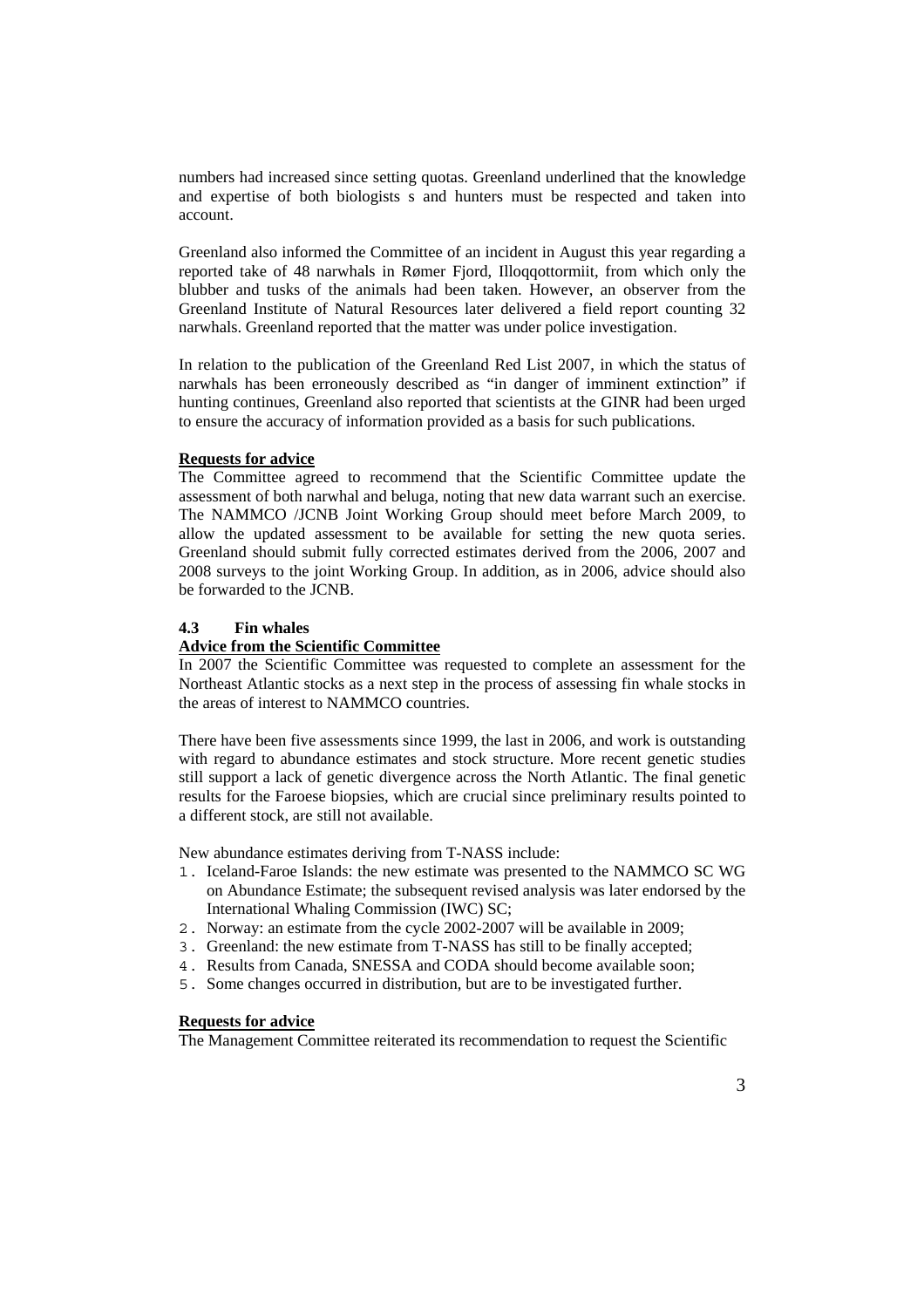numbers had increased since setting quotas. Greenland underlined that the knowledge and expertise of both biologists s and hunters must be respected and taken into account.

Greenland also informed the Committee of an incident in August this year regarding a reported take of 48 narwhals in Rømer Fjord, Illoqqottormiit, from which only the blubber and tusks of the animals had been taken. However, an observer from the Greenland Institute of Natural Resources later delivered a field report counting 32 narwhals. Greenland reported that the matter was under police investigation.

In relation to the publication of the Greenland Red List 2007, in which the status of narwhals has been erroneously described as "in danger of imminent extinction" if hunting continues, Greenland also reported that scientists at the GINR had been urged to ensure the accuracy of information provided as a basis for such publications.

## **Requests for advice**

The Committee agreed to recommend that the Scientific Committee update the assessment of both narwhal and beluga, noting that new data warrant such an exercise. The NAMMCO /JCNB Joint Working Group should meet before March 2009, to allow the updated assessment to be available for setting the new quota series. Greenland should submit fully corrected estimates derived from the 2006, 2007 and 2008 surveys to the joint Working Group. In addition, as in 2006, advice should also be forwarded to the JCNB.

### **4.3 Fin whales**

## **Advice from the Scientific Committee**

In 2007 the Scientific Committee was requested to complete an assessment for the Northeast Atlantic stocks as a next step in the process of assessing fin whale stocks in the areas of interest to NAMMCO countries.

There have been five assessments since 1999, the last in 2006, and work is outstanding with regard to abundance estimates and stock structure. More recent genetic studies still support a lack of genetic divergence across the North Atlantic. The final genetic results for the Faroese biopsies, which are crucial since preliminary results pointed to a different stock, are still not available.

New abundance estimates deriving from T-NASS include:

- 1. Iceland-Faroe Islands: the new estimate was presented to the NAMMCO SC WG on Abundance Estimate; the subsequent revised analysis was later endorsed by the International Whaling Commission (IWC) SC;
- 2. Norway: an estimate from the cycle 2002-2007 will be available in 2009;
- 3. Greenland: the new estimate from T-NASS has still to be finally accepted;
- 4. Results from Canada, SNESSA and CODA should become available soon;
- 5. Some changes occurred in distribution, but are to be investigated further.

## **Requests for advice**

The Management Committee reiterated its recommendation to request the Scientific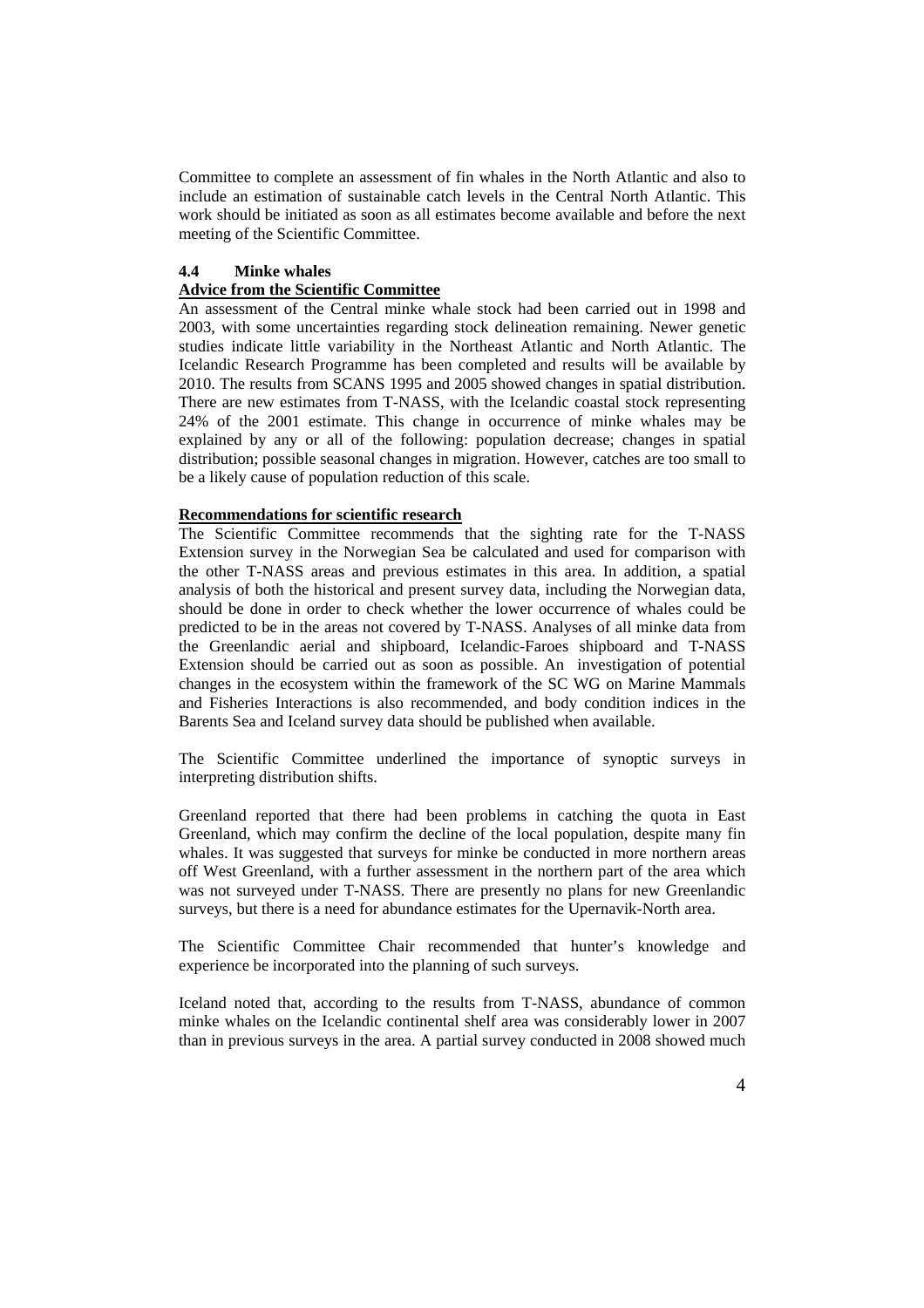Committee to complete an assessment of fin whales in the North Atlantic and also to include an estimation of sustainable catch levels in the Central North Atlantic. This work should be initiated as soon as all estimates become available and before the next meeting of the Scientific Committee.

### **4.4 Minke whales Advice from the Scientific Committee**

An assessment of the Central minke whale stock had been carried out in 1998 and 2003, with some uncertainties regarding stock delineation remaining. Newer genetic studies indicate little variability in the Northeast Atlantic and North Atlantic. The Icelandic Research Programme has been completed and results will be available by 2010. The results from SCANS 1995 and 2005 showed changes in spatial distribution. There are new estimates from T-NASS, with the Icelandic coastal stock representing 24% of the 2001 estimate. This change in occurrence of minke whales may be explained by any or all of the following: population decrease; changes in spatial distribution; possible seasonal changes in migration. However, catches are too small to be a likely cause of population reduction of this scale.

### **Recommendations for scientific research**

The Scientific Committee recommends that the sighting rate for the T-NASS Extension survey in the Norwegian Sea be calculated and used for comparison with the other T-NASS areas and previous estimates in this area. In addition, a spatial analysis of both the historical and present survey data, including the Norwegian data, should be done in order to check whether the lower occurrence of whales could be predicted to be in the areas not covered by T-NASS. Analyses of all minke data from the Greenlandic aerial and shipboard, Icelandic-Faroes shipboard and T-NASS Extension should be carried out as soon as possible. An investigation of potential changes in the ecosystem within the framework of the SC WG on Marine Mammals and Fisheries Interactions is also recommended, and body condition indices in the Barents Sea and Iceland survey data should be published when available.

The Scientific Committee underlined the importance of synoptic surveys in interpreting distribution shifts.

Greenland reported that there had been problems in catching the quota in East Greenland, which may confirm the decline of the local population, despite many fin whales. It was suggested that surveys for minke be conducted in more northern areas off West Greenland, with a further assessment in the northern part of the area which was not surveyed under T-NASS. There are presently no plans for new Greenlandic surveys, but there is a need for abundance estimates for the Upernavik-North area.

The Scientific Committee Chair recommended that hunter's knowledge and experience be incorporated into the planning of such surveys.

Iceland noted that, according to the results from T-NASS, abundance of common minke whales on the Icelandic continental shelf area was considerably lower in 2007 than in previous surveys in the area. A partial survey conducted in 2008 showed much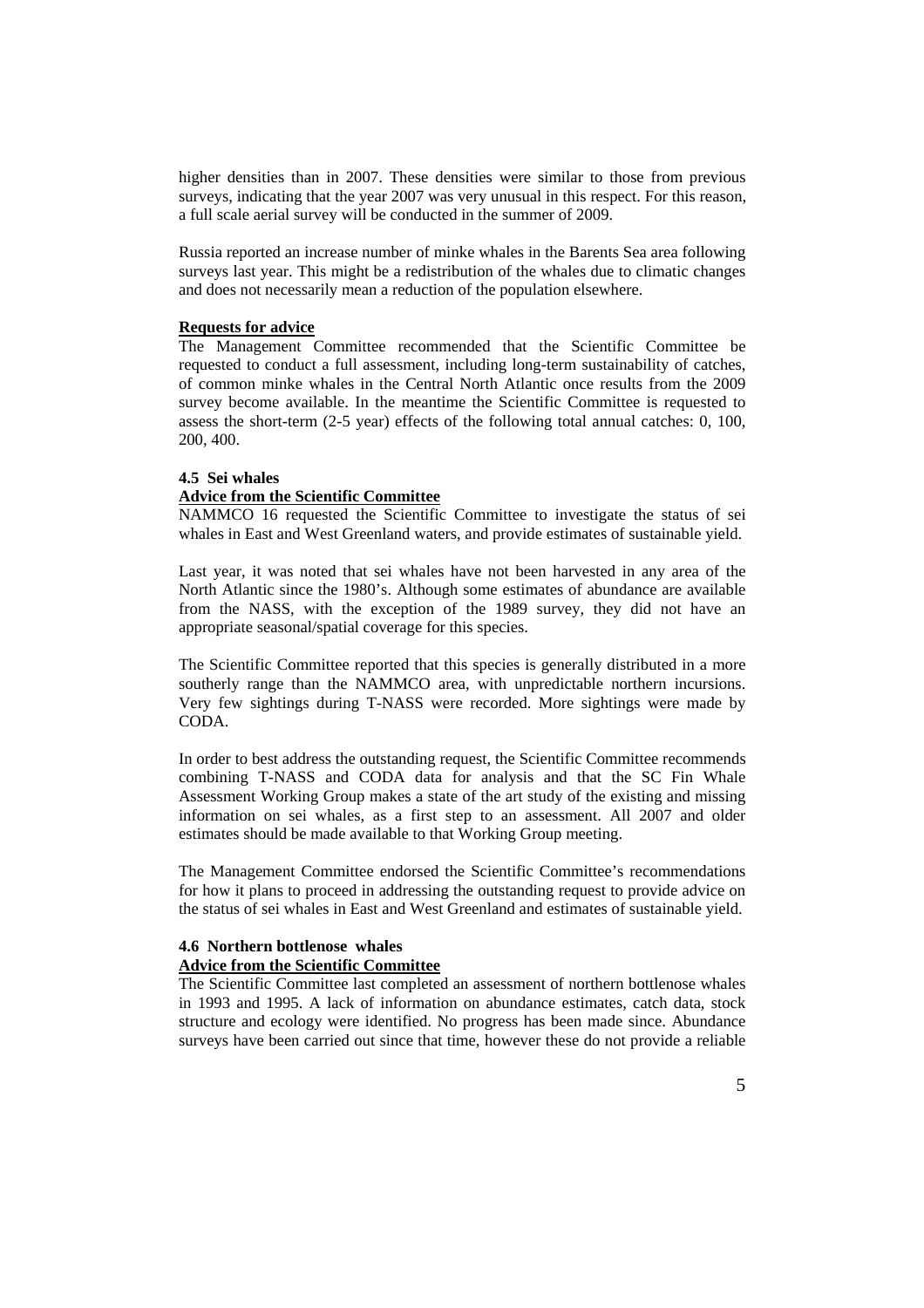higher densities than in 2007. These densities were similar to those from previous surveys, indicating that the year 2007 was very unusual in this respect. For this reason, a full scale aerial survey will be conducted in the summer of 2009.

Russia reported an increase number of minke whales in the Barents Sea area following surveys last year. This might be a redistribution of the whales due to climatic changes and does not necessarily mean a reduction of the population elsewhere.

## **Requests for advice**

The Management Committee recommended that the Scientific Committee be requested to conduct a full assessment, including long-term sustainability of catches, of common minke whales in the Central North Atlantic once results from the 2009 survey become available. In the meantime the Scientific Committee is requested to assess the short-term (2-5 year) effects of the following total annual catches: 0, 100, 200, 400.

## **4.5 Sei whales Advice from the Scientific Committee**

NAMMCO 16 requested the Scientific Committee to investigate the status of sei whales in East and West Greenland waters, and provide estimates of sustainable yield.

Last year, it was noted that sei whales have not been harvested in any area of the North Atlantic since the 1980's. Although some estimates of abundance are available from the NASS, with the exception of the 1989 survey, they did not have an appropriate seasonal/spatial coverage for this species.

The Scientific Committee reported that this species is generally distributed in a more southerly range than the NAMMCO area, with unpredictable northern incursions. Very few sightings during T-NASS were recorded. More sightings were made by CODA.

In order to best address the outstanding request, the Scientific Committee recommends combining T-NASS and CODA data for analysis and that the SC Fin Whale Assessment Working Group makes a state of the art study of the existing and missing information on sei whales, as a first step to an assessment. All 2007 and older estimates should be made available to that Working Group meeting.

The Management Committee endorsed the Scientific Committee's recommendations for how it plans to proceed in addressing the outstanding request to provide advice on the status of sei whales in East and West Greenland and estimates of sustainable yield.

# **4.6 Northern bottlenose whales**

## **Advice from the Scientific Committee**

The Scientific Committee last completed an assessment of northern bottlenose whales in 1993 and 1995. A lack of information on abundance estimates, catch data, stock structure and ecology were identified. No progress has been made since. Abundance surveys have been carried out since that time, however these do not provide a reliable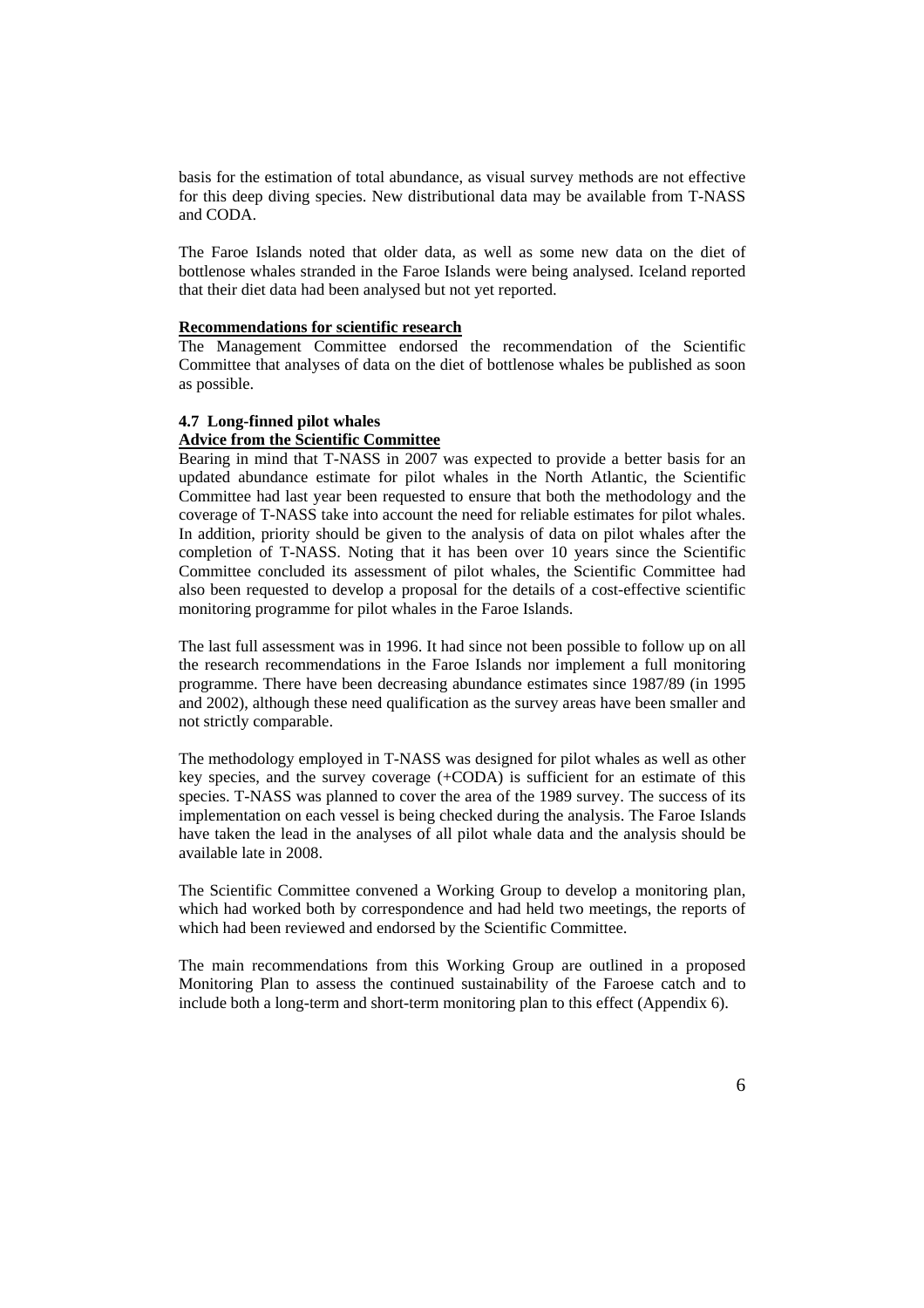basis for the estimation of total abundance, as visual survey methods are not effective for this deep diving species. New distributional data may be available from T-NASS and CODA.

The Faroe Islands noted that older data, as well as some new data on the diet of bottlenose whales stranded in the Faroe Islands were being analysed. Iceland reported that their diet data had been analysed but not yet reported.

## **Recommendations for scientific research**

The Management Committee endorsed the recommendation of the Scientific Committee that analyses of data on the diet of bottlenose whales be published as soon as possible.

### **4.7 Long-finned pilot whales**

## **Advice from the Scientific Committee**

Bearing in mind that T-NASS in 2007 was expected to provide a better basis for an updated abundance estimate for pilot whales in the North Atlantic, the Scientific Committee had last year been requested to ensure that both the methodology and the coverage of T-NASS take into account the need for reliable estimates for pilot whales. In addition, priority should be given to the analysis of data on pilot whales after the completion of T-NASS. Noting that it has been over 10 years since the Scientific Committee concluded its assessment of pilot whales, the Scientific Committee had also been requested to develop a proposal for the details of a cost-effective scientific monitoring programme for pilot whales in the Faroe Islands.

The last full assessment was in 1996. It had since not been possible to follow up on all the research recommendations in the Faroe Islands nor implement a full monitoring programme. There have been decreasing abundance estimates since 1987/89 (in 1995 and 2002), although these need qualification as the survey areas have been smaller and not strictly comparable.

The methodology employed in T-NASS was designed for pilot whales as well as other key species, and the survey coverage (+CODA) is sufficient for an estimate of this species. T-NASS was planned to cover the area of the 1989 survey. The success of its implementation on each vessel is being checked during the analysis. The Faroe Islands have taken the lead in the analyses of all pilot whale data and the analysis should be available late in 2008.

The Scientific Committee convened a Working Group to develop a monitoring plan, which had worked both by correspondence and had held two meetings, the reports of which had been reviewed and endorsed by the Scientific Committee.

The main recommendations from this Working Group are outlined in a proposed Monitoring Plan to assess the continued sustainability of the Faroese catch and to include both a long-term and short-term monitoring plan to this effect (Appendix 6).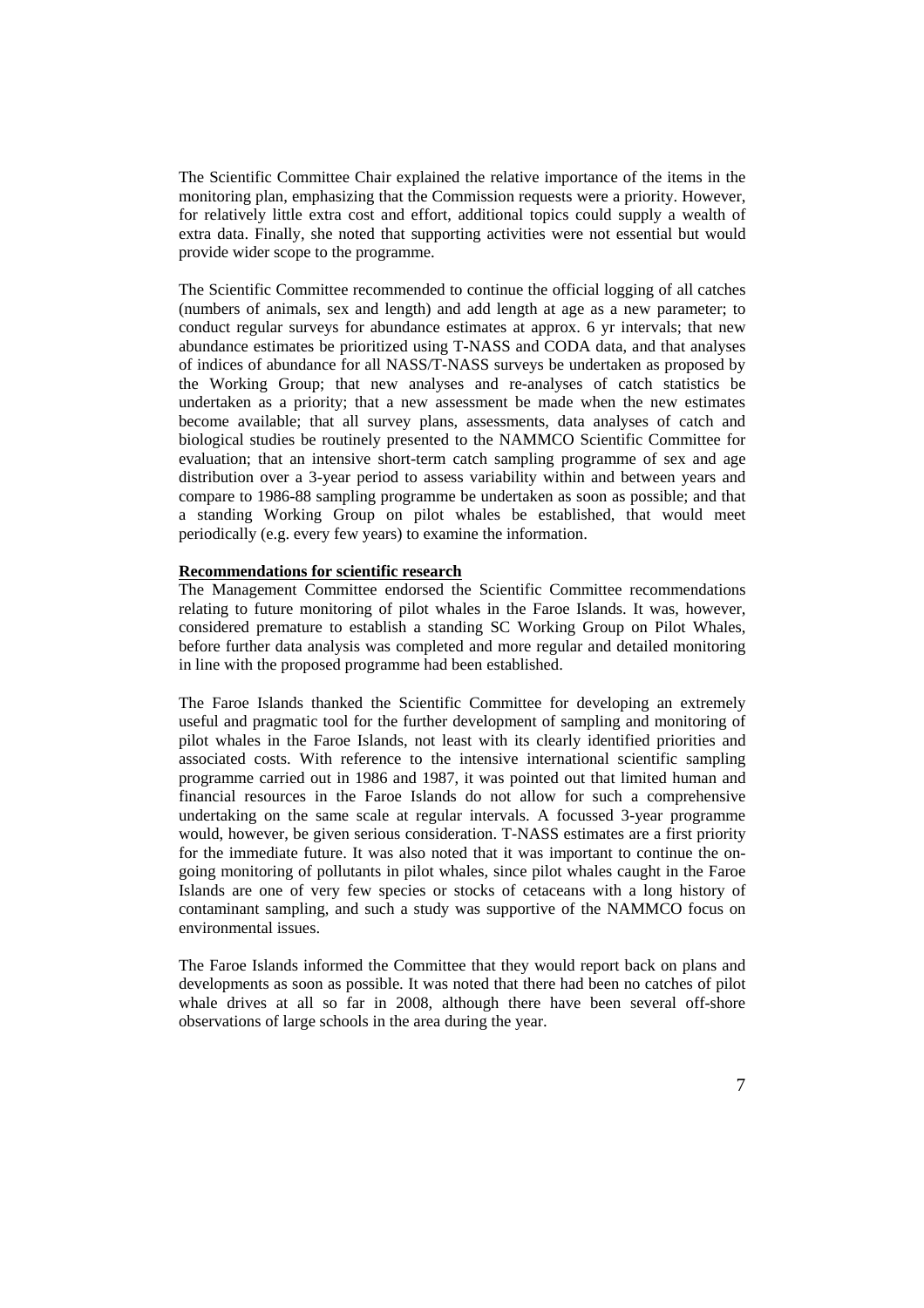The Scientific Committee Chair explained the relative importance of the items in the monitoring plan, emphasizing that the Commission requests were a priority. However, for relatively little extra cost and effort, additional topics could supply a wealth of extra data. Finally, she noted that supporting activities were not essential but would provide wider scope to the programme.

The Scientific Committee recommended to continue the official logging of all catches (numbers of animals, sex and length) and add length at age as a new parameter; to conduct regular surveys for abundance estimates at approx. 6 yr intervals; that new abundance estimates be prioritized using T-NASS and CODA data, and that analyses of indices of abundance for all NASS/T-NASS surveys be undertaken as proposed by the Working Group; that new analyses and re-analyses of catch statistics be undertaken as a priority; that a new assessment be made when the new estimates become available; that all survey plans, assessments, data analyses of catch and biological studies be routinely presented to the NAMMCO Scientific Committee for evaluation; that an intensive short-term catch sampling programme of sex and age distribution over a 3-year period to assess variability within and between years and compare to 1986-88 sampling programme be undertaken as soon as possible; and that a standing Working Group on pilot whales be established, that would meet periodically (e.g. every few years) to examine the information.

### **Recommendations for scientific research**

The Management Committee endorsed the Scientific Committee recommendations relating to future monitoring of pilot whales in the Faroe Islands. It was, however, considered premature to establish a standing SC Working Group on Pilot Whales, before further data analysis was completed and more regular and detailed monitoring in line with the proposed programme had been established.

The Faroe Islands thanked the Scientific Committee for developing an extremely useful and pragmatic tool for the further development of sampling and monitoring of pilot whales in the Faroe Islands, not least with its clearly identified priorities and associated costs. With reference to the intensive international scientific sampling programme carried out in 1986 and 1987, it was pointed out that limited human and financial resources in the Faroe Islands do not allow for such a comprehensive undertaking on the same scale at regular intervals. A focussed 3-year programme would, however, be given serious consideration. T-NASS estimates are a first priority for the immediate future. It was also noted that it was important to continue the ongoing monitoring of pollutants in pilot whales, since pilot whales caught in the Faroe Islands are one of very few species or stocks of cetaceans with a long history of contaminant sampling, and such a study was supportive of the NAMMCO focus on environmental issues.

The Faroe Islands informed the Committee that they would report back on plans and developments as soon as possible. It was noted that there had been no catches of pilot whale drives at all so far in 2008, although there have been several off-shore observations of large schools in the area during the year.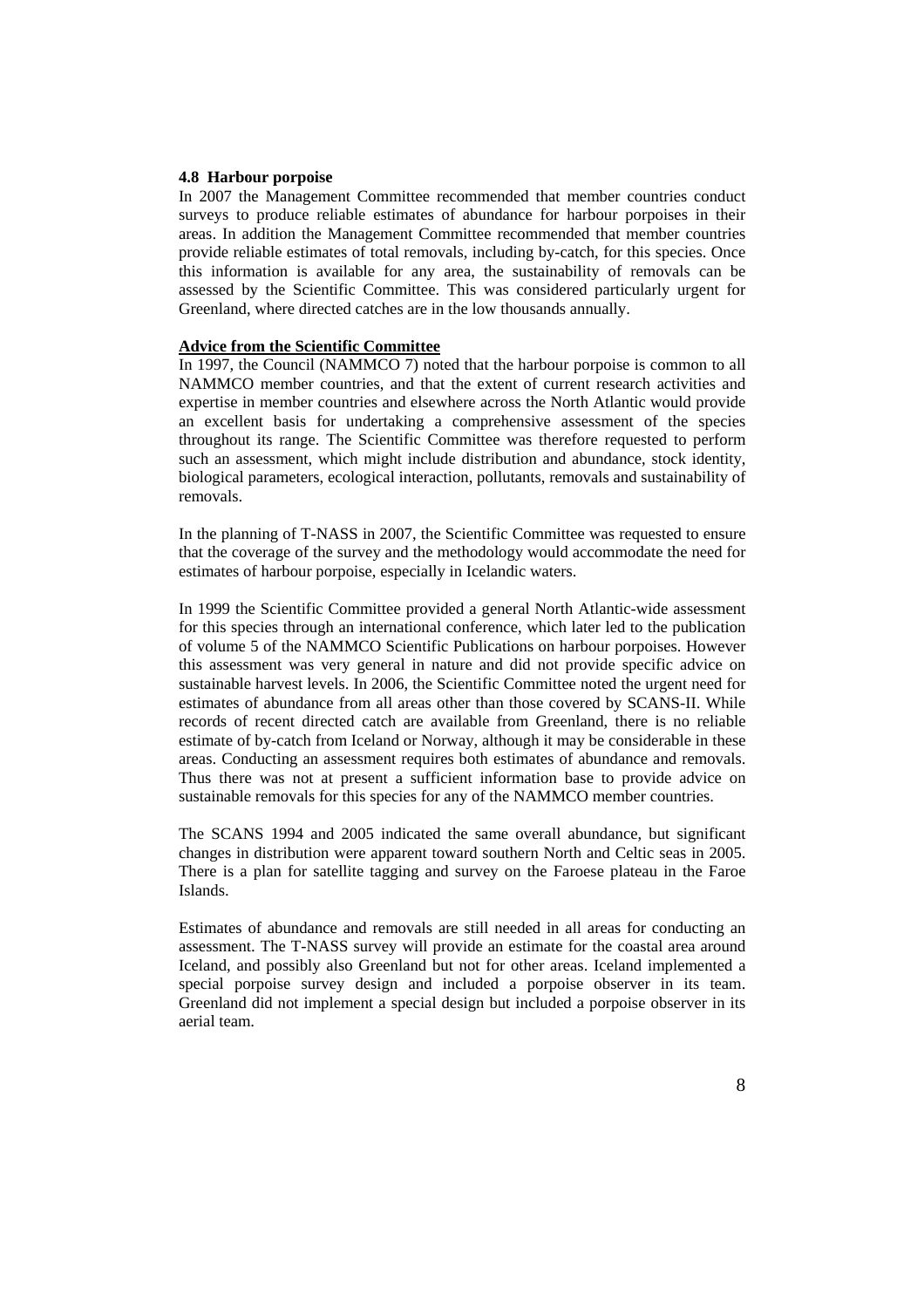#### **4.8 Harbour porpoise**

In 2007 the Management Committee recommended that member countries conduct surveys to produce reliable estimates of abundance for harbour porpoises in their areas. In addition the Management Committee recommended that member countries provide reliable estimates of total removals, including by-catch, for this species. Once this information is available for any area, the sustainability of removals can be assessed by the Scientific Committee. This was considered particularly urgent for Greenland, where directed catches are in the low thousands annually.

#### **Advice from the Scientific Committee**

In 1997, the Council (NAMMCO 7) noted that the harbour porpoise is common to all NAMMCO member countries, and that the extent of current research activities and expertise in member countries and elsewhere across the North Atlantic would provide an excellent basis for undertaking a comprehensive assessment of the species throughout its range. The Scientific Committee was therefore requested to perform such an assessment, which might include distribution and abundance, stock identity, biological parameters, ecological interaction, pollutants, removals and sustainability of removals.

In the planning of T-NASS in 2007, the Scientific Committee was requested to ensure that the coverage of the survey and the methodology would accommodate the need for estimates of harbour porpoise, especially in Icelandic waters.

In 1999 the Scientific Committee provided a general North Atlantic-wide assessment for this species through an international conference, which later led to the publication of volume 5 of the NAMMCO Scientific Publications on harbour porpoises. However this assessment was very general in nature and did not provide specific advice on sustainable harvest levels. In 2006, the Scientific Committee noted the urgent need for estimates of abundance from all areas other than those covered by SCANS-II. While records of recent directed catch are available from Greenland, there is no reliable estimate of by-catch from Iceland or Norway, although it may be considerable in these areas. Conducting an assessment requires both estimates of abundance and removals. Thus there was not at present a sufficient information base to provide advice on sustainable removals for this species for any of the NAMMCO member countries.

The SCANS 1994 and 2005 indicated the same overall abundance, but significant changes in distribution were apparent toward southern North and Celtic seas in 2005. There is a plan for satellite tagging and survey on the Faroese plateau in the Faroe Islands.

Estimates of abundance and removals are still needed in all areas for conducting an assessment. The T-NASS survey will provide an estimate for the coastal area around Iceland, and possibly also Greenland but not for other areas. Iceland implemented a special porpoise survey design and included a porpoise observer in its team. Greenland did not implement a special design but included a porpoise observer in its aerial team.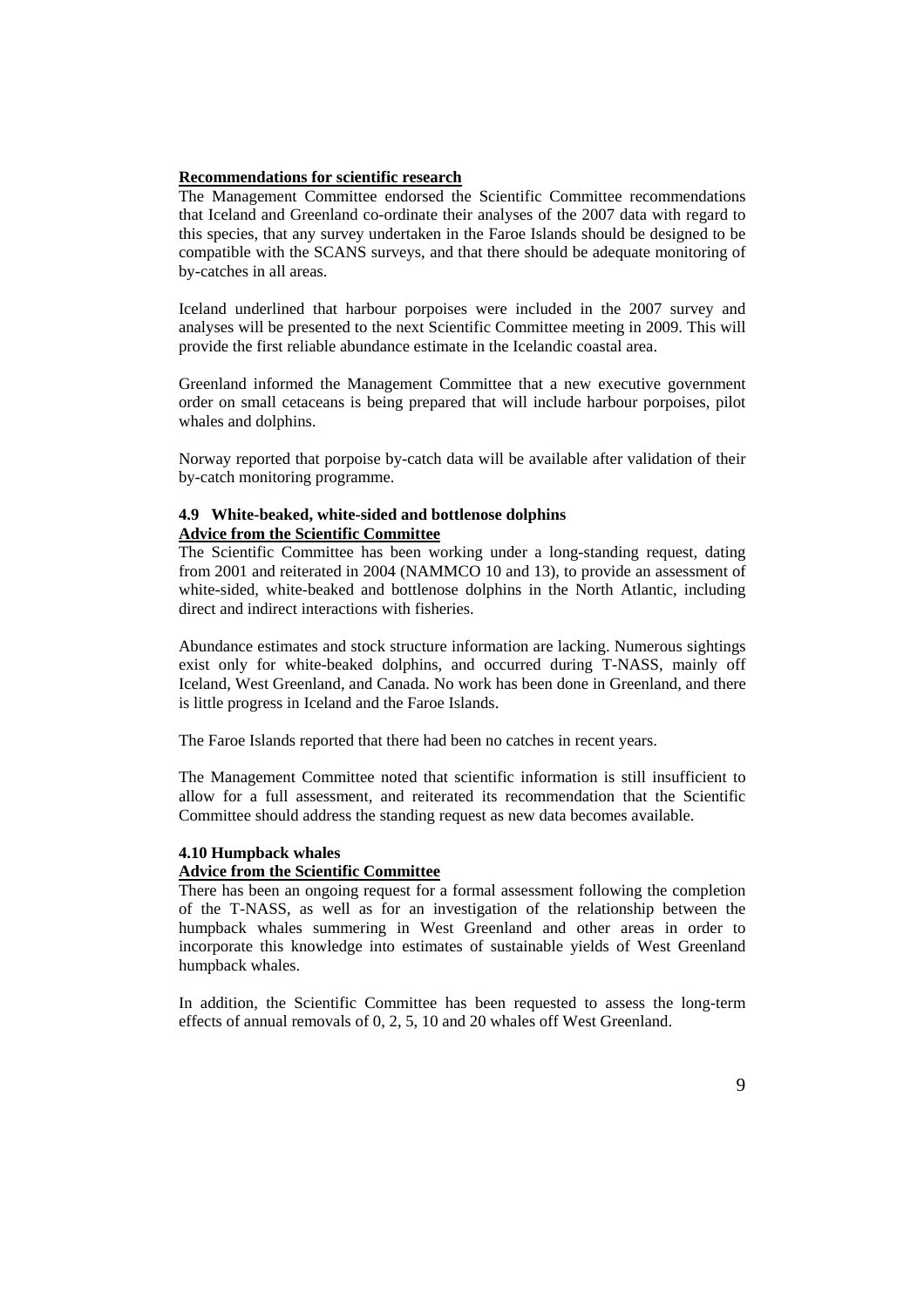### **Recommendations for scientific research**

The Management Committee endorsed the Scientific Committee recommendations that Iceland and Greenland co-ordinate their analyses of the 2007 data with regard to this species, that any survey undertaken in the Faroe Islands should be designed to be compatible with the SCANS surveys, and that there should be adequate monitoring of by-catches in all areas.

Iceland underlined that harbour porpoises were included in the 2007 survey and analyses will be presented to the next Scientific Committee meeting in 2009. This will provide the first reliable abundance estimate in the Icelandic coastal area.

Greenland informed the Management Committee that a new executive government order on small cetaceans is being prepared that will include harbour porpoises, pilot whales and dolphins.

Norway reported that porpoise by-catch data will be available after validation of their by-catch monitoring programme.

### **4.9 White-beaked, white-sided and bottlenose dolphins Advice from the Scientific Committee**

The Scientific Committee has been working under a long-standing request, dating from 2001 and reiterated in 2004 (NAMMCO 10 and 13), to provide an assessment of white-sided, white-beaked and bottlenose dolphins in the North Atlantic, including direct and indirect interactions with fisheries.

Abundance estimates and stock structure information are lacking. Numerous sightings exist only for white-beaked dolphins, and occurred during T-NASS, mainly off Iceland, West Greenland, and Canada. No work has been done in Greenland, and there is little progress in Iceland and the Faroe Islands.

The Faroe Islands reported that there had been no catches in recent years.

The Management Committee noted that scientific information is still insufficient to allow for a full assessment, and reiterated its recommendation that the Scientific Committee should address the standing request as new data becomes available.

#### **4.10 Humpback whales**

#### **Advice from the Scientific Committee**

There has been an ongoing request for a formal assessment following the completion of the T-NASS, as well as for an investigation of the relationship between the humpback whales summering in West Greenland and other areas in order to incorporate this knowledge into estimates of sustainable yields of West Greenland humpback whales.

In addition, the Scientific Committee has been requested to assess the long-term effects of annual removals of 0, 2, 5, 10 and 20 whales off West Greenland.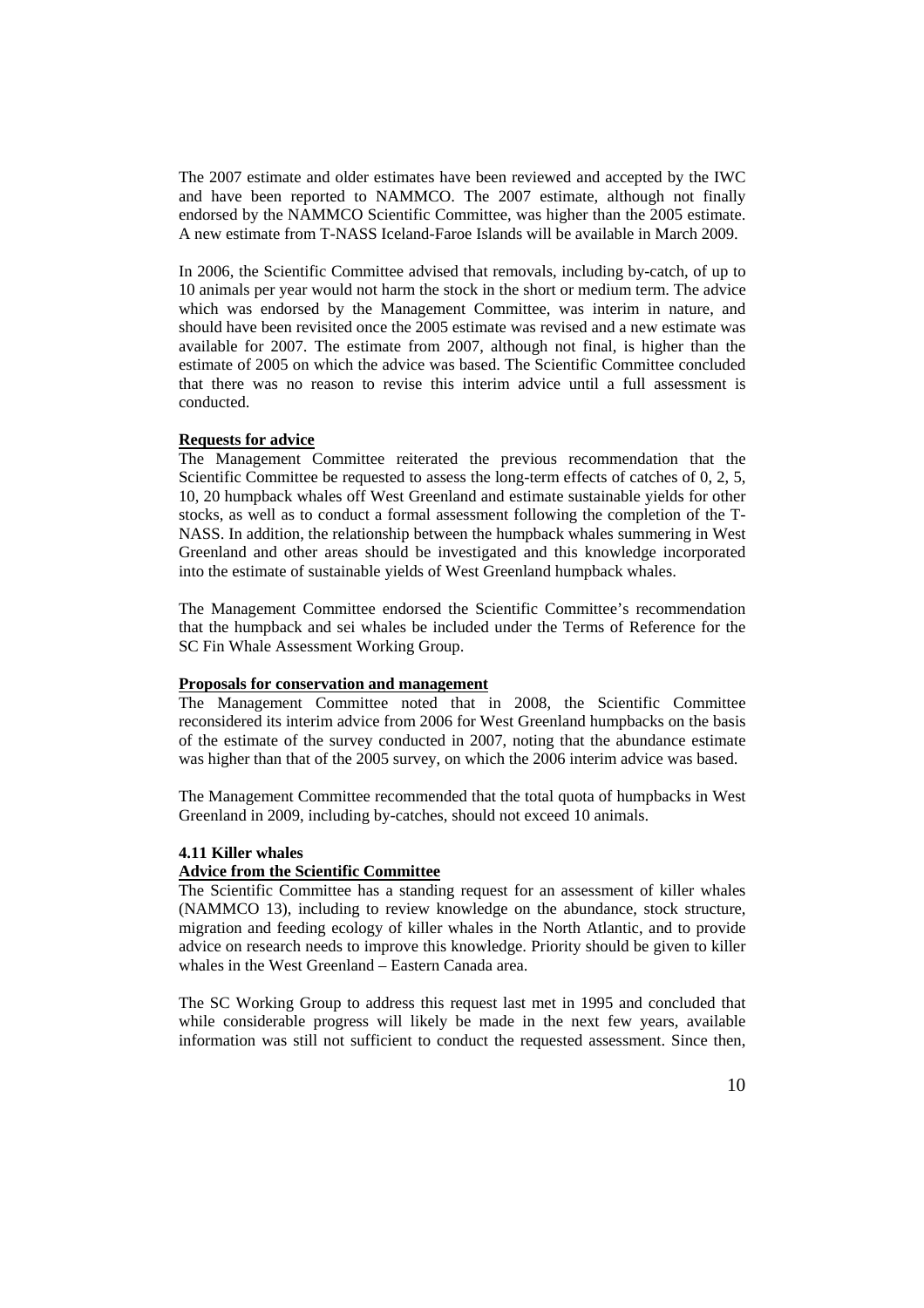The 2007 estimate and older estimates have been reviewed and accepted by the IWC and have been reported to NAMMCO. The 2007 estimate, although not finally endorsed by the NAMMCO Scientific Committee, was higher than the 2005 estimate. A new estimate from T-NASS Iceland-Faroe Islands will be available in March 2009.

In 2006, the Scientific Committee advised that removals, including by-catch, of up to 10 animals per year would not harm the stock in the short or medium term. The advice which was endorsed by the Management Committee, was interim in nature, and should have been revisited once the 2005 estimate was revised and a new estimate was available for 2007. The estimate from 2007, although not final, is higher than the estimate of 2005 on which the advice was based. The Scientific Committee concluded that there was no reason to revise this interim advice until a full assessment is conducted.

### **Requests for advice**

The Management Committee reiterated the previous recommendation that the Scientific Committee be requested to assess the long-term effects of catches of 0, 2, 5, 10, 20 humpback whales off West Greenland and estimate sustainable yields for other stocks, as well as to conduct a formal assessment following the completion of the T-NASS. In addition, the relationship between the humpback whales summering in West Greenland and other areas should be investigated and this knowledge incorporated into the estimate of sustainable yields of West Greenland humpback whales.

The Management Committee endorsed the Scientific Committee's recommendation that the humpback and sei whales be included under the Terms of Reference for the SC Fin Whale Assessment Working Group.

#### **Proposals for conservation and management**

The Management Committee noted that in 2008, the Scientific Committee reconsidered its interim advice from 2006 for West Greenland humpbacks on the basis of the estimate of the survey conducted in 2007, noting that the abundance estimate was higher than that of the 2005 survey, on which the 2006 interim advice was based.

The Management Committee recommended that the total quota of humpbacks in West Greenland in 2009, including by-catches, should not exceed 10 animals.

#### **4.11 Killer whales**

#### **Advice from the Scientific Committee**

The Scientific Committee has a standing request for an assessment of killer whales (NAMMCO 13), including to review knowledge on the abundance, stock structure, migration and feeding ecology of killer whales in the North Atlantic, and to provide advice on research needs to improve this knowledge. Priority should be given to killer whales in the West Greenland – Eastern Canada area.

The SC Working Group to address this request last met in 1995 and concluded that while considerable progress will likely be made in the next few years, available information was still not sufficient to conduct the requested assessment. Since then,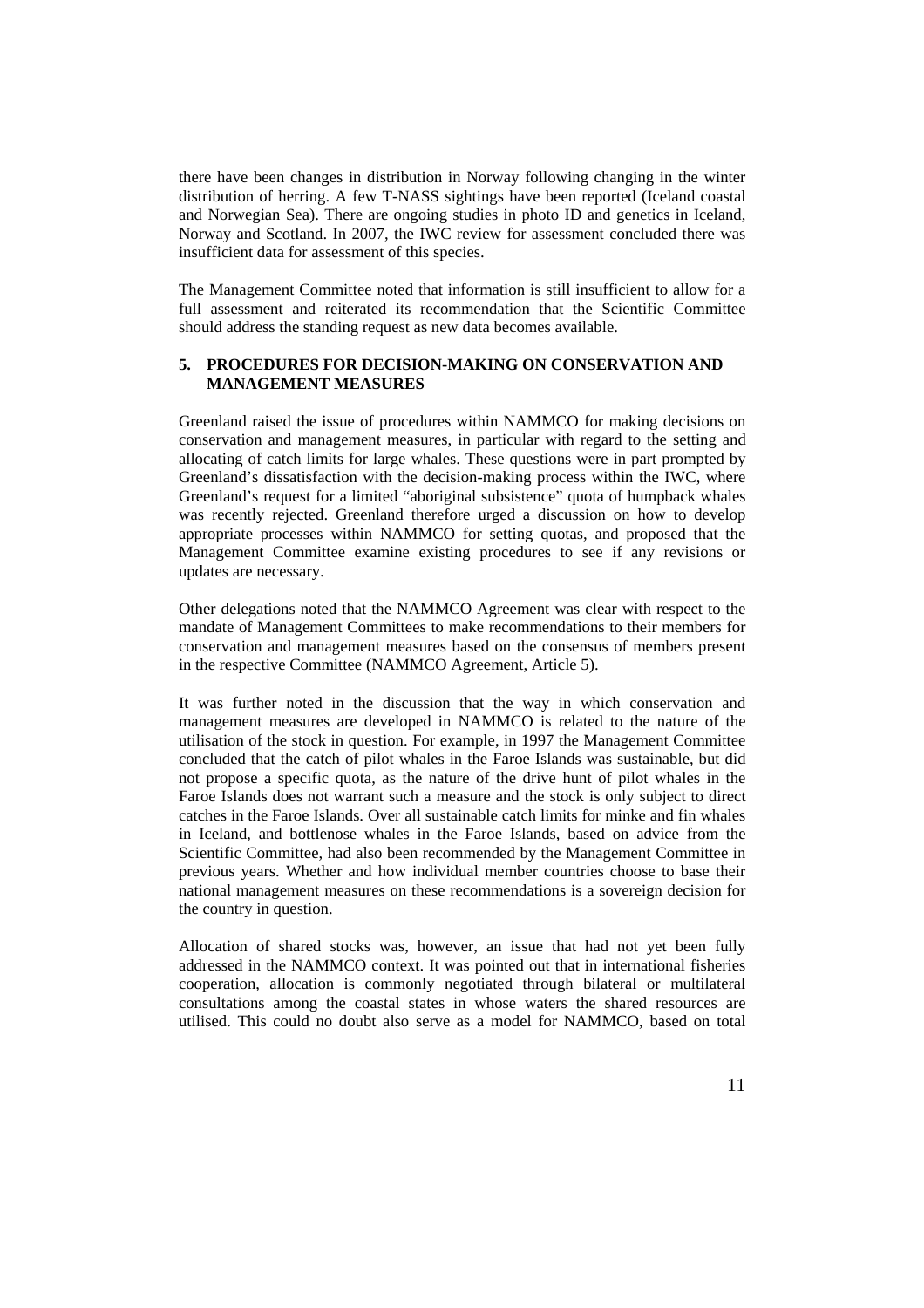there have been changes in distribution in Norway following changing in the winter distribution of herring. A few T-NASS sightings have been reported (Iceland coastal and Norwegian Sea). There are ongoing studies in photo ID and genetics in Iceland, Norway and Scotland. In 2007, the IWC review for assessment concluded there was insufficient data for assessment of this species.

The Management Committee noted that information is still insufficient to allow for a full assessment and reiterated its recommendation that the Scientific Committee should address the standing request as new data becomes available.

## **5. PROCEDURES FOR DECISION-MAKING ON CONSERVATION AND MANAGEMENT MEASURES**

Greenland raised the issue of procedures within NAMMCO for making decisions on conservation and management measures, in particular with regard to the setting and allocating of catch limits for large whales. These questions were in part prompted by Greenland's dissatisfaction with the decision-making process within the IWC, where Greenland's request for a limited "aboriginal subsistence" quota of humpback whales was recently rejected. Greenland therefore urged a discussion on how to develop appropriate processes within NAMMCO for setting quotas, and proposed that the Management Committee examine existing procedures to see if any revisions or updates are necessary.

Other delegations noted that the NAMMCO Agreement was clear with respect to the mandate of Management Committees to make recommendations to their members for conservation and management measures based on the consensus of members present in the respective Committee (NAMMCO Agreement, Article 5).

It was further noted in the discussion that the way in which conservation and management measures are developed in NAMMCO is related to the nature of the utilisation of the stock in question. For example, in 1997 the Management Committee concluded that the catch of pilot whales in the Faroe Islands was sustainable, but did not propose a specific quota, as the nature of the drive hunt of pilot whales in the Faroe Islands does not warrant such a measure and the stock is only subject to direct catches in the Faroe Islands. Over all sustainable catch limits for minke and fin whales in Iceland, and bottlenose whales in the Faroe Islands, based on advice from the Scientific Committee, had also been recommended by the Management Committee in previous years. Whether and how individual member countries choose to base their national management measures on these recommendations is a sovereign decision for the country in question.

Allocation of shared stocks was, however, an issue that had not yet been fully addressed in the NAMMCO context. It was pointed out that in international fisheries cooperation, allocation is commonly negotiated through bilateral or multilateral consultations among the coastal states in whose waters the shared resources are utilised. This could no doubt also serve as a model for NAMMCO, based on total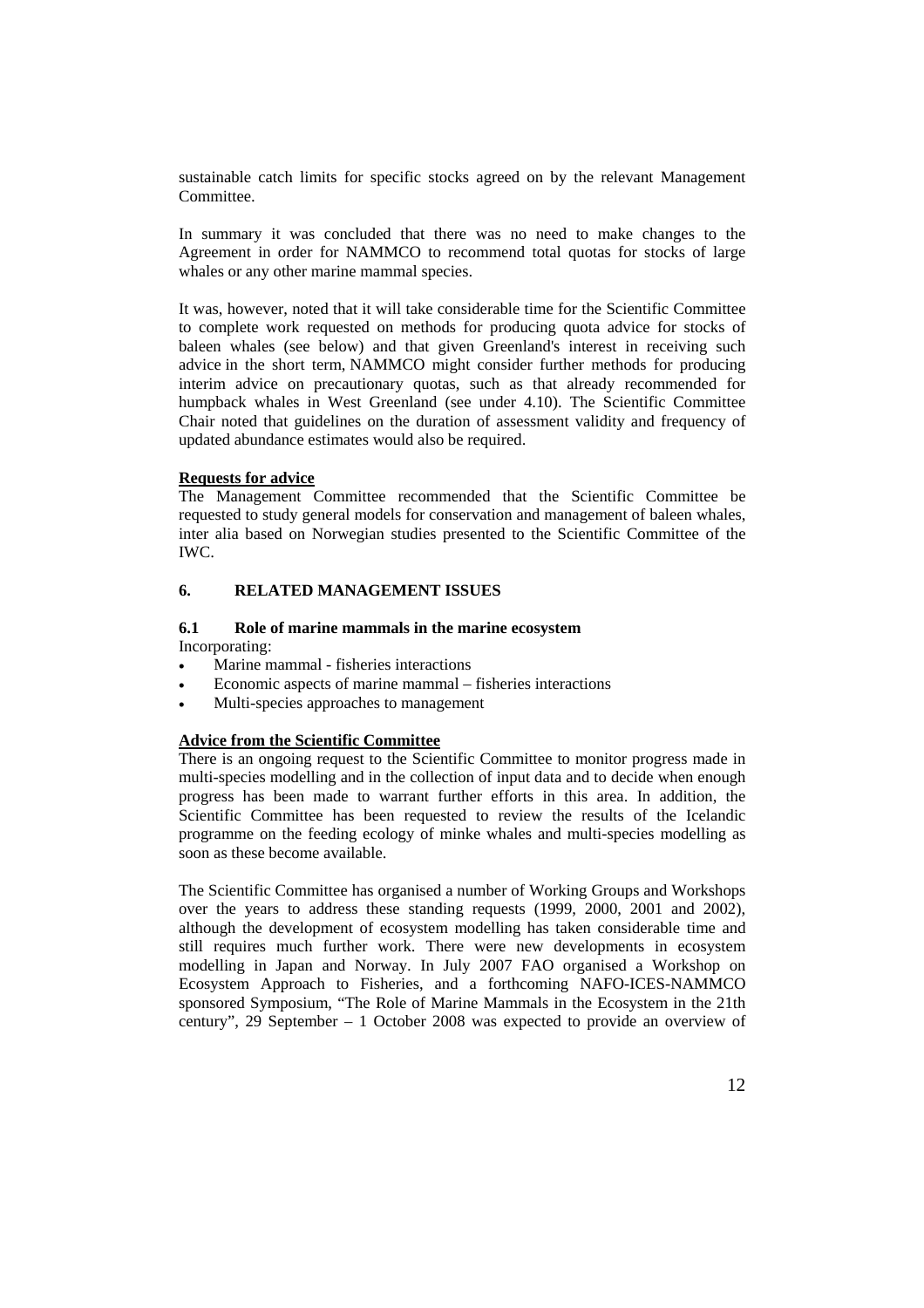sustainable catch limits for specific stocks agreed on by the relevant Management Committee.

In summary it was concluded that there was no need to make changes to the Agreement in order for NAMMCO to recommend total quotas for stocks of large whales or any other marine mammal species.

It was, however, noted that it will take considerable time for the Scientific Committee to complete work requested on methods for producing quota advice for stocks of baleen whales (see below) and that given Greenland's interest in receiving such advice in the short term, NAMMCO might consider further methods for producing interim advice on precautionary quotas, such as that already recommended for humpback whales in West Greenland (see under 4.10). The Scientific Committee Chair noted that guidelines on the duration of assessment validity and frequency of updated abundance estimates would also be required.

#### **Requests for advice**

The Management Committee recommended that the Scientific Committee be requested to study general models for conservation and management of baleen whales, inter alia based on Norwegian studies presented to the Scientific Committee of the IWC.

## **6. RELATED MANAGEMENT ISSUES**

# **6.1 Role of marine mammals in the marine ecosystem**

Incorporating:

- Marine mammal fisheries interactions
- Economic aspects of marine mammal fisheries interactions
- Multi-species approaches to management

### **Advice from the Scientific Committee**

There is an ongoing request to the Scientific Committee to monitor progress made in multi-species modelling and in the collection of input data and to decide when enough progress has been made to warrant further efforts in this area. In addition, the Scientific Committee has been requested to review the results of the Icelandic programme on the feeding ecology of minke whales and multi-species modelling as soon as these become available.

The Scientific Committee has organised a number of Working Groups and Workshops over the years to address these standing requests (1999, 2000, 2001 and 2002), although the development of ecosystem modelling has taken considerable time and still requires much further work. There were new developments in ecosystem modelling in Japan and Norway. In July 2007 FAO organised a Workshop on Ecosystem Approach to Fisheries, and a forthcoming NAFO-ICES-NAMMCO sponsored Symposium, "The Role of Marine Mammals in the Ecosystem in the 21th century", 29 September – 1 October 2008 was expected to provide an overview of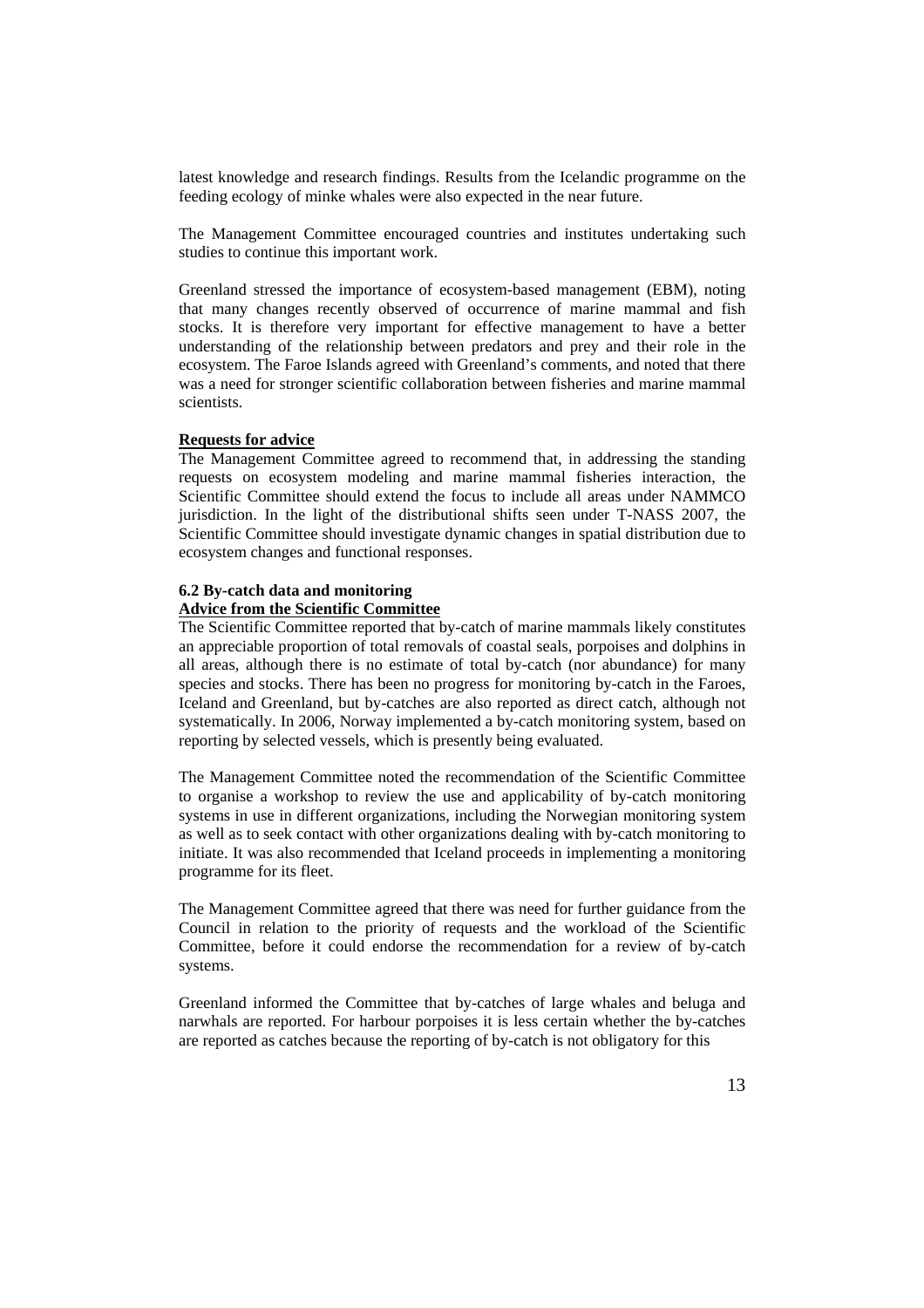latest knowledge and research findings. Results from the Icelandic programme on the feeding ecology of minke whales were also expected in the near future.

The Management Committee encouraged countries and institutes undertaking such studies to continue this important work.

Greenland stressed the importance of ecosystem-based management (EBM), noting that many changes recently observed of occurrence of marine mammal and fish stocks. It is therefore very important for effective management to have a better understanding of the relationship between predators and prey and their role in the ecosystem. The Faroe Islands agreed with Greenland's comments, and noted that there was a need for stronger scientific collaboration between fisheries and marine mammal scientists.

### **Requests for advice**

The Management Committee agreed to recommend that, in addressing the standing requests on ecosystem modeling and marine mammal fisheries interaction, the Scientific Committee should extend the focus to include all areas under NAMMCO jurisdiction. In the light of the distributional shifts seen under T-NASS 2007, the Scientific Committee should investigate dynamic changes in spatial distribution due to ecosystem changes and functional responses.

#### **6.2 By-catch data and monitoring**

## **Advice from the Scientific Committee**

The Scientific Committee reported that by-catch of marine mammals likely constitutes an appreciable proportion of total removals of coastal seals, porpoises and dolphins in all areas, although there is no estimate of total by-catch (nor abundance) for many species and stocks. There has been no progress for monitoring by-catch in the Faroes, Iceland and Greenland, but by-catches are also reported as direct catch, although not systematically. In 2006, Norway implemented a by-catch monitoring system, based on reporting by selected vessels, which is presently being evaluated.

The Management Committee noted the recommendation of the Scientific Committee to organise a workshop to review the use and applicability of by-catch monitoring systems in use in different organizations, including the Norwegian monitoring system as well as to seek contact with other organizations dealing with by-catch monitoring to initiate. It was also recommended that Iceland proceeds in implementing a monitoring programme for its fleet.

The Management Committee agreed that there was need for further guidance from the Council in relation to the priority of requests and the workload of the Scientific Committee, before it could endorse the recommendation for a review of by-catch systems.

Greenland informed the Committee that by-catches of large whales and beluga and narwhals are reported. For harbour porpoises it is less certain whether the by-catches are reported as catches because the reporting of by-catch is not obligatory for this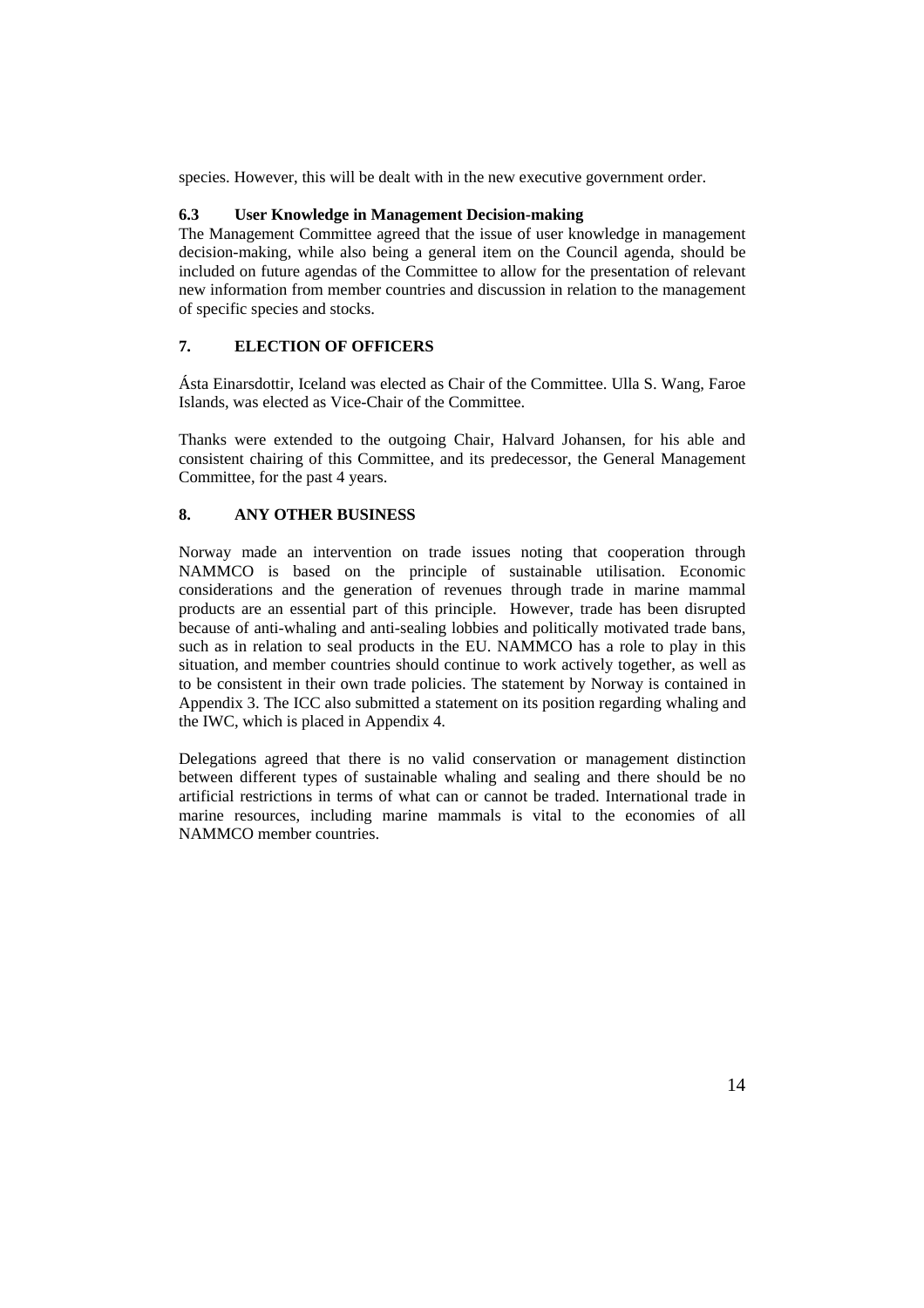species. However, this will be dealt with in the new executive government order.

## **6.3 User Knowledge in Management Decision-making**

The Management Committee agreed that the issue of user knowledge in management decision-making, while also being a general item on the Council agenda, should be included on future agendas of the Committee to allow for the presentation of relevant new information from member countries and discussion in relation to the management of specific species and stocks.

## **7. ELECTION OF OFFICERS**

Ásta Einarsdottir, Iceland was elected as Chair of the Committee. Ulla S. Wang, Faroe Islands, was elected as Vice-Chair of the Committee.

Thanks were extended to the outgoing Chair, Halvard Johansen, for his able and consistent chairing of this Committee, and its predecessor, the General Management Committee, for the past 4 years.

## **8. ANY OTHER BUSINESS**

Norway made an intervention on trade issues noting that cooperation through NAMMCO is based on the principle of sustainable utilisation. Economic considerations and the generation of revenues through trade in marine mammal products are an essential part of this principle. However, trade has been disrupted because of anti-whaling and anti-sealing lobbies and politically motivated trade bans, such as in relation to seal products in the EU. NAMMCO has a role to play in this situation, and member countries should continue to work actively together, as well as to be consistent in their own trade policies. The statement by Norway is contained in Appendix 3. The ICC also submitted a statement on its position regarding whaling and the IWC, which is placed in Appendix 4.

Delegations agreed that there is no valid conservation or management distinction between different types of sustainable whaling and sealing and there should be no artificial restrictions in terms of what can or cannot be traded. International trade in marine resources, including marine mammals is vital to the economies of all NAMMCO member countries.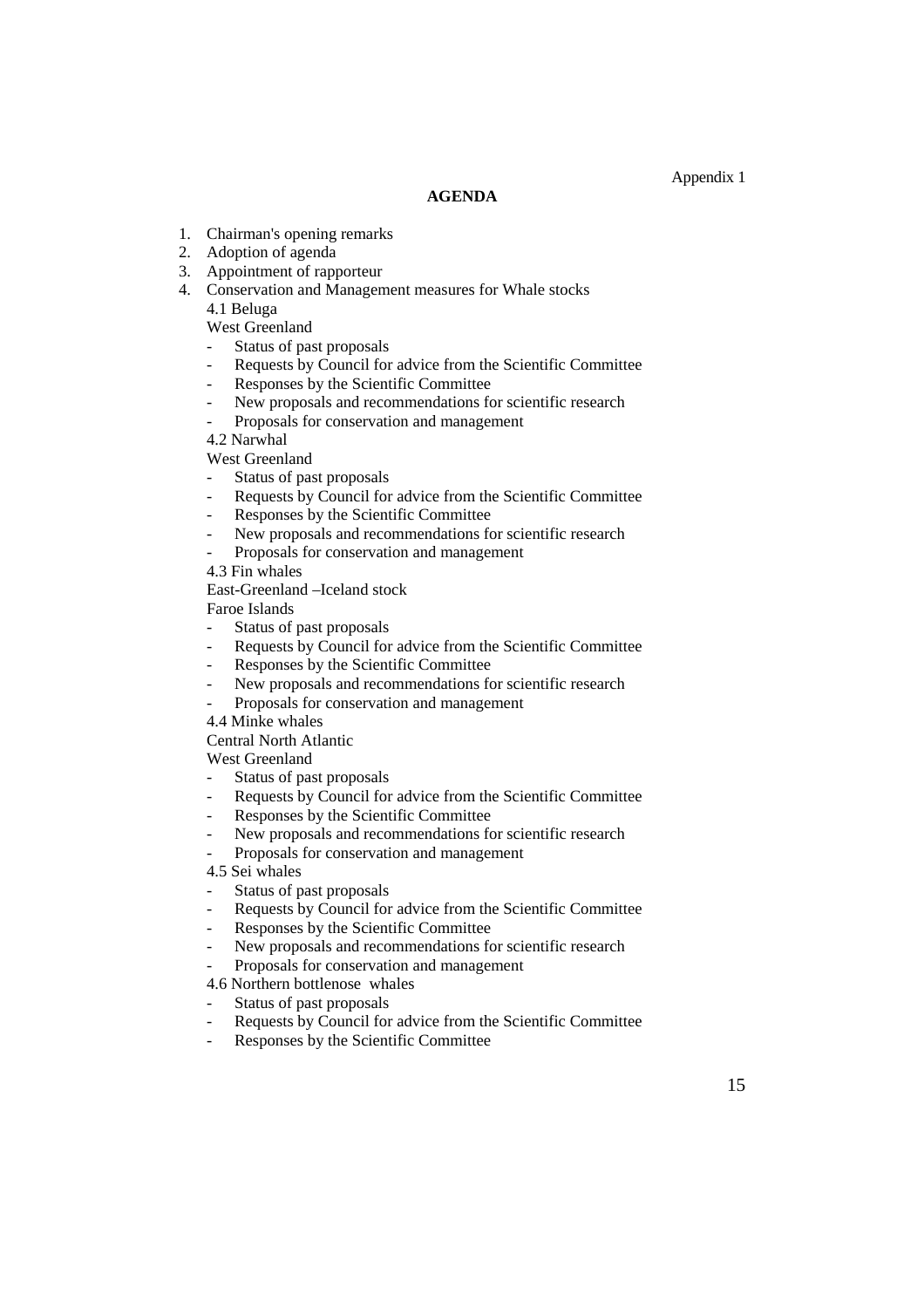### **AGENDA**

- 1. Chairman's opening remarks
- 2. Adoption of agenda
- 3. Appointment of rapporteur
- 4. Conservation and Management measures for Whale stocks 4.1 Beluga

West Greenland

- Status of past proposals
- Requests by Council for advice from the Scientific Committee
- Responses by the Scientific Committee
- New proposals and recommendations for scientific research
- Proposals for conservation and management

4.2 Narwhal

West Greenland

- Status of past proposals
- Requests by Council for advice from the Scientific Committee
- Responses by the Scientific Committee
- New proposals and recommendations for scientific research
- Proposals for conservation and management

4.3 Fin whales

East-Greenland –Iceland stock

Faroe Islands

- Status of past proposals
- Requests by Council for advice from the Scientific Committee
- Responses by the Scientific Committee
- New proposals and recommendations for scientific research
- Proposals for conservation and management
- 4.4 Minke whales

Central North Atlantic

West Greenland

- Status of past proposals
- Requests by Council for advice from the Scientific Committee
- Responses by the Scientific Committee
- New proposals and recommendations for scientific research
- Proposals for conservation and management

4.5 Sei whales

- Status of past proposals
- Requests by Council for advice from the Scientific Committee
- Responses by the Scientific Committee
- New proposals and recommendations for scientific research
- Proposals for conservation and management

4.6 Northern bottlenose whales

- Status of past proposals
- Requests by Council for advice from the Scientific Committee
- Responses by the Scientific Committee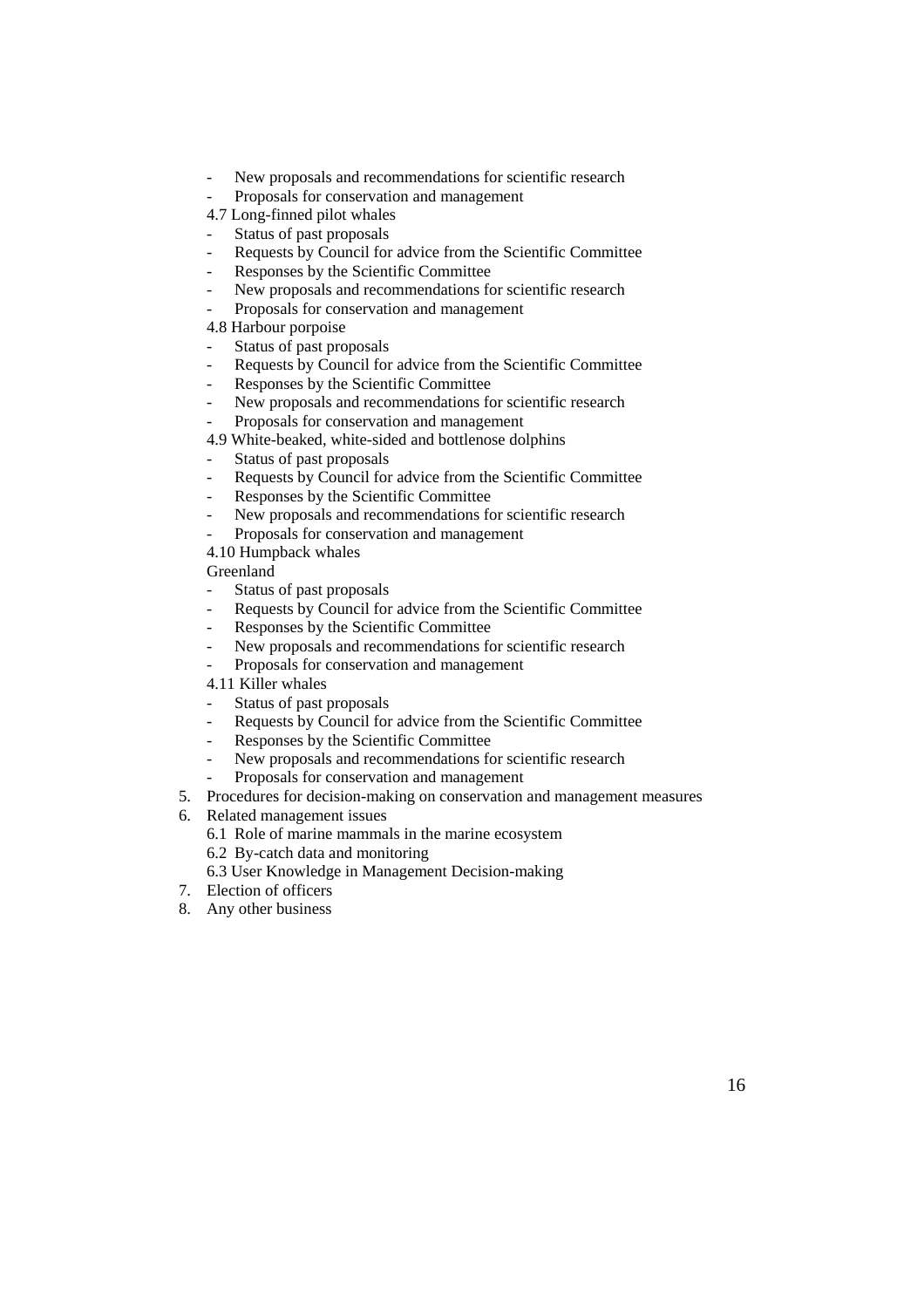- New proposals and recommendations for scientific research
- Proposals for conservation and management
- 4.7 Long-finned pilot whales
- Status of past proposals
- Requests by Council for advice from the Scientific Committee
- Responses by the Scientific Committee
- New proposals and recommendations for scientific research
- Proposals for conservation and management
- 4.8 Harbour porpoise
- Status of past proposals
- Requests by Council for advice from the Scientific Committee
- Responses by the Scientific Committee
- New proposals and recommendations for scientific research
- Proposals for conservation and management
- 4.9 White-beaked, white-sided and bottlenose dolphins
- Status of past proposals
- Requests by Council for advice from the Scientific Committee
- Responses by the Scientific Committee
- New proposals and recommendations for scientific research
- Proposals for conservation and management
- 4.10 Humpback whales

Greenland

- Status of past proposals
- Requests by Council for advice from the Scientific Committee
- Responses by the Scientific Committee
- New proposals and recommendations for scientific research
- Proposals for conservation and management
- 4.11 Killer whales
- Status of past proposals
- Requests by Council for advice from the Scientific Committee
- Responses by the Scientific Committee
- New proposals and recommendations for scientific research
- Proposals for conservation and management
- 5. Procedures for decision-making on conservation and management measures
- 6. Related management issues
	- 6.1 Role of marine mammals in the marine ecosystem
	- 6.2 By-catch data and monitoring
	- 6.3 User Knowledge in Management Decision-making
- 7. Election of officers
- 8. Any other business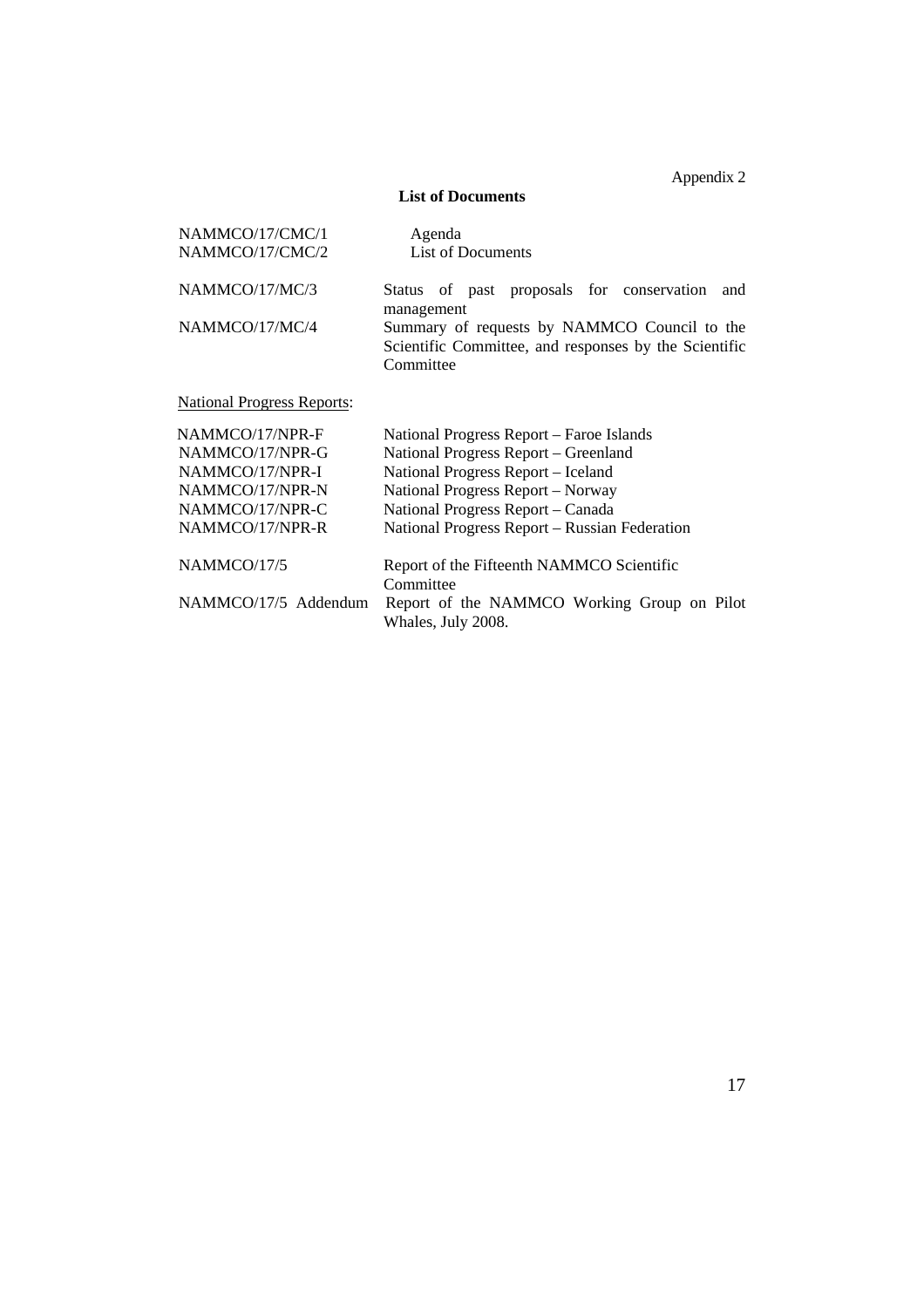Appendix 2

## **List of Documents**

| NAMMCO/17/CMC/1                   | Agenda                                                                                                             |  |  |
|-----------------------------------|--------------------------------------------------------------------------------------------------------------------|--|--|
| NAMMCO/17/CMC/2                   | <b>List of Documents</b>                                                                                           |  |  |
| NAMMCO/17/MC/3                    | Status of past proposals for conservation<br>and<br>management                                                     |  |  |
| NAMMCO/17/MC/4                    | Summary of requests by NAMMCO Council to the<br>Scientific Committee, and responses by the Scientific<br>Committee |  |  |
| <b>National Progress Reports:</b> |                                                                                                                    |  |  |
| NAMMCO/17/NPR-F                   | National Progress Report – Faroe Islands                                                                           |  |  |
| NAMMCO/17/NPR-G                   | National Progress Report – Greenland                                                                               |  |  |
| NAMMCO/17/NPR-I                   | National Progress Report – Iceland                                                                                 |  |  |
| NAMMCO/17/NPR-N                   | National Progress Report – Norway                                                                                  |  |  |
| NAMMCO/17/NPR-C                   | National Progress Report – Canada                                                                                  |  |  |

| NAMMCO/17/NPR-R      | National Progress Report – Russian Federation                     |
|----------------------|-------------------------------------------------------------------|
| NAMMCO/17/5          | Report of the Fifteenth NAMMCO Scientific<br>Committee            |
| NAMMCO/17/5 Addendum | Report of the NAMMCO Working Group on Pilot<br>Whales, July 2008. |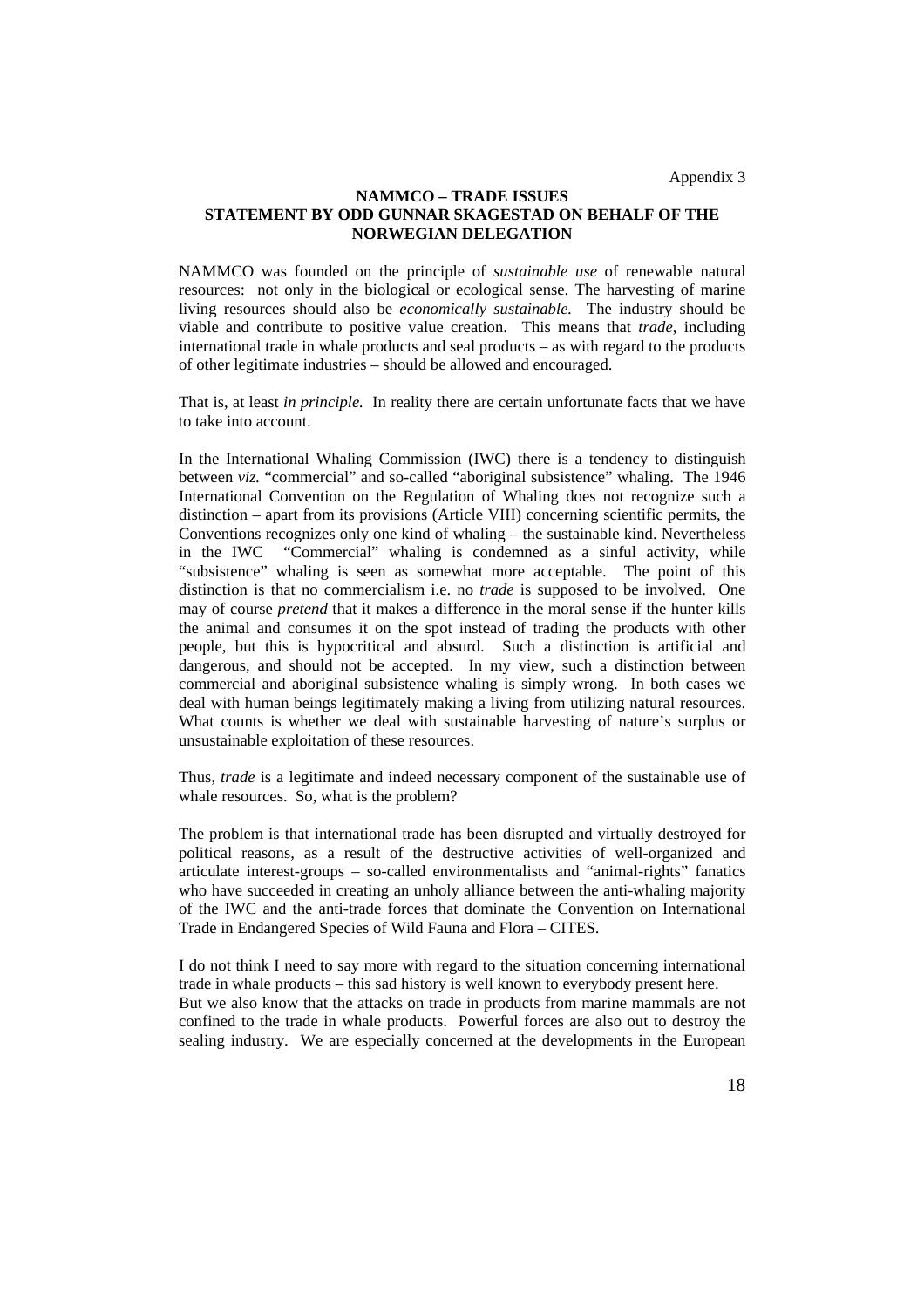Appendix 3

### **NAMMCO – TRADE ISSUES STATEMENT BY ODD GUNNAR SKAGESTAD ON BEHALF OF THE NORWEGIAN DELEGATION**

NAMMCO was founded on the principle of *sustainable use* of renewable natural resources: not only in the biological or ecological sense. The harvesting of marine living resources should also be *economically sustainable.* The industry should be viable and contribute to positive value creation. This means that *trade*, including international trade in whale products and seal products – as with regard to the products of other legitimate industries – should be allowed and encouraged.

That is, at least *in principle.* In reality there are certain unfortunate facts that we have to take into account.

In the International Whaling Commission (IWC) there is a tendency to distinguish between *viz.* "commercial" and so-called "aboriginal subsistence" whaling. The 1946 International Convention on the Regulation of Whaling does not recognize such a distinction – apart from its provisions (Article VIII) concerning scientific permits, the Conventions recognizes only one kind of whaling – the sustainable kind. Nevertheless in the IWC "Commercial" whaling is condemned as a sinful activity, while "subsistence" whaling is seen as somewhat more acceptable. The point of this distinction is that no commercialism i.e. no *trade* is supposed to be involved. One may of course *pretend* that it makes a difference in the moral sense if the hunter kills the animal and consumes it on the spot instead of trading the products with other people, but this is hypocritical and absurd. Such a distinction is artificial and dangerous, and should not be accepted. In my view, such a distinction between commercial and aboriginal subsistence whaling is simply wrong. In both cases we deal with human beings legitimately making a living from utilizing natural resources. What counts is whether we deal with sustainable harvesting of nature's surplus or unsustainable exploitation of these resources.

Thus, *trade* is a legitimate and indeed necessary component of the sustainable use of whale resources. So, what is the problem?

The problem is that international trade has been disrupted and virtually destroyed for political reasons, as a result of the destructive activities of well-organized and articulate interest-groups – so-called environmentalists and "animal-rights" fanatics who have succeeded in creating an unholy alliance between the anti-whaling majority of the IWC and the anti-trade forces that dominate the Convention on International Trade in Endangered Species of Wild Fauna and Flora – CITES.

I do not think I need to say more with regard to the situation concerning international trade in whale products – this sad history is well known to everybody present here. But we also know that the attacks on trade in products from marine mammals are not confined to the trade in whale products. Powerful forces are also out to destroy the sealing industry. We are especially concerned at the developments in the European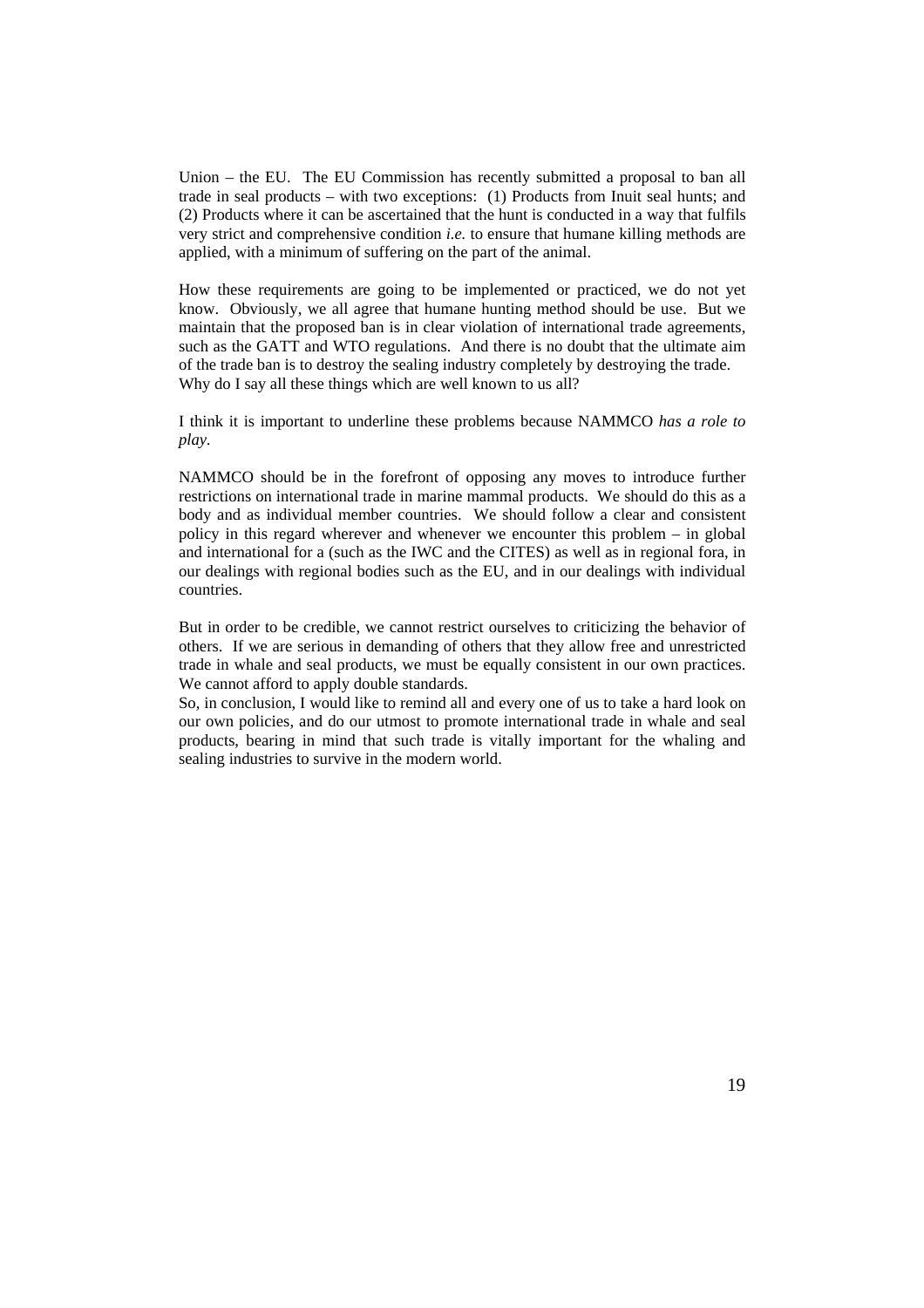Union – the EU. The EU Commission has recently submitted a proposal to ban all trade in seal products – with two exceptions: (1) Products from Inuit seal hunts; and (2) Products where it can be ascertained that the hunt is conducted in a way that fulfils very strict and comprehensive condition *i.e.* to ensure that humane killing methods are applied, with a minimum of suffering on the part of the animal.

How these requirements are going to be implemented or practiced, we do not yet know. Obviously, we all agree that humane hunting method should be use. But we maintain that the proposed ban is in clear violation of international trade agreements, such as the GATT and WTO regulations. And there is no doubt that the ultimate aim of the trade ban is to destroy the sealing industry completely by destroying the trade. Why do I say all these things which are well known to us all?

I think it is important to underline these problems because NAMMCO *has a role to play.*

NAMMCO should be in the forefront of opposing any moves to introduce further restrictions on international trade in marine mammal products. We should do this as a body and as individual member countries. We should follow a clear and consistent policy in this regard wherever and whenever we encounter this problem – in global and international for a (such as the IWC and the CITES) as well as in regional fora, in our dealings with regional bodies such as the EU, and in our dealings with individual countries.

But in order to be credible, we cannot restrict ourselves to criticizing the behavior of others. If we are serious in demanding of others that they allow free and unrestricted trade in whale and seal products, we must be equally consistent in our own practices. We cannot afford to apply double standards.

So, in conclusion, I would like to remind all and every one of us to take a hard look on our own policies, and do our utmost to promote international trade in whale and seal products, bearing in mind that such trade is vitally important for the whaling and sealing industries to survive in the modern world.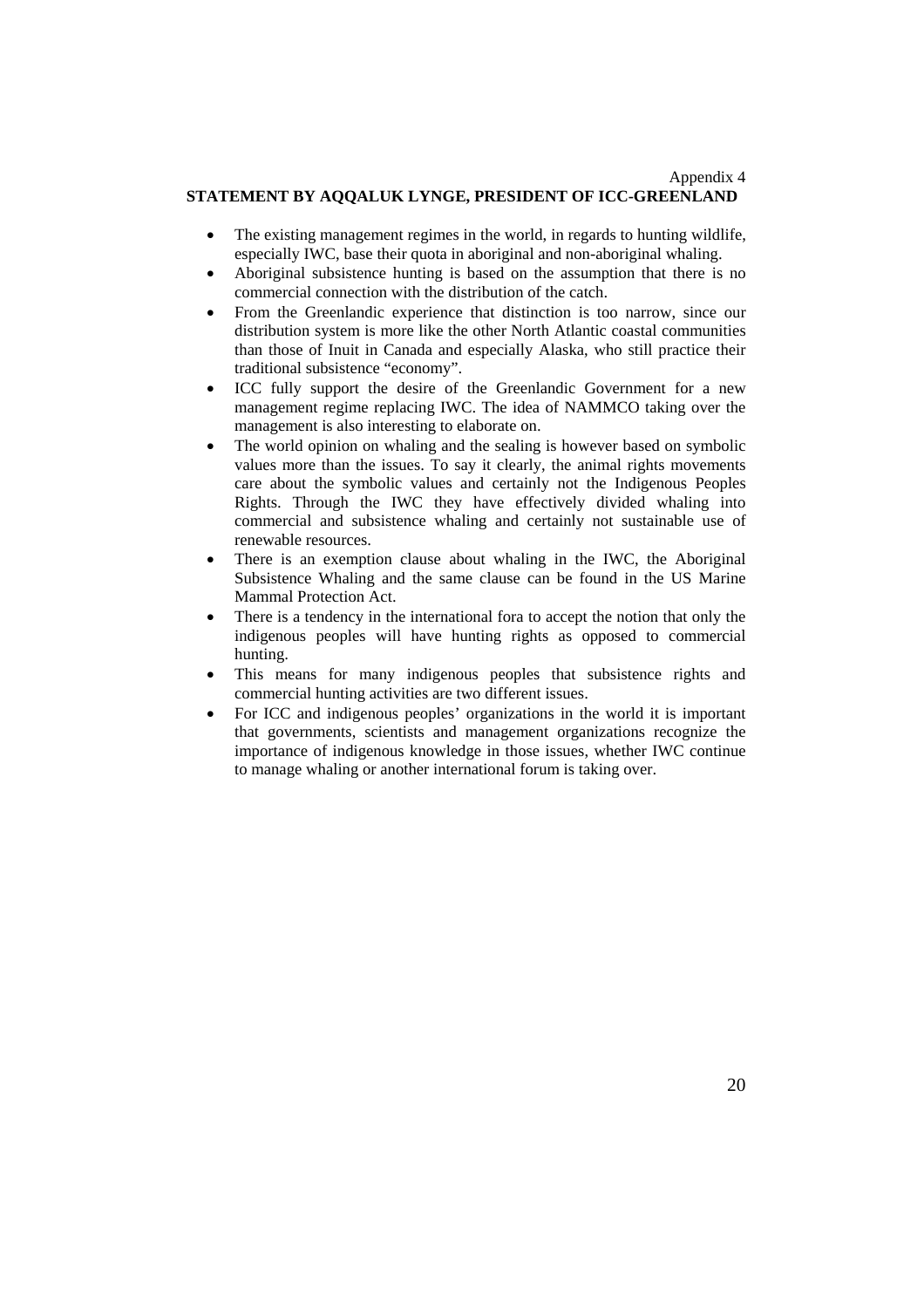### Appendix 4 **STATEMENT BY AQQALUK LYNGE, PRESIDENT OF ICC-GREENLAND**

- The existing management regimes in the world, in regards to hunting wildlife. especially IWC, base their quota in aboriginal and non-aboriginal whaling.
- Aboriginal subsistence hunting is based on the assumption that there is no commercial connection with the distribution of the catch.
- From the Greenlandic experience that distinction is too narrow, since our distribution system is more like the other North Atlantic coastal communities than those of Inuit in Canada and especially Alaska, who still practice their traditional subsistence "economy".
- ICC fully support the desire of the Greenlandic Government for a new management regime replacing IWC. The idea of NAMMCO taking over the management is also interesting to elaborate on.
- The world opinion on whaling and the sealing is however based on symbolic values more than the issues. To say it clearly, the animal rights movements care about the symbolic values and certainly not the Indigenous Peoples Rights. Through the IWC they have effectively divided whaling into commercial and subsistence whaling and certainly not sustainable use of renewable resources.
- There is an exemption clause about whaling in the IWC, the Aboriginal Subsistence Whaling and the same clause can be found in the US Marine Mammal Protection Act.
- There is a tendency in the international fora to accept the notion that only the indigenous peoples will have hunting rights as opposed to commercial hunting.
- This means for many indigenous peoples that subsistence rights and commercial hunting activities are two different issues.
- For ICC and indigenous peoples' organizations in the world it is important that governments, scientists and management organizations recognize the importance of indigenous knowledge in those issues, whether IWC continue to manage whaling or another international forum is taking over.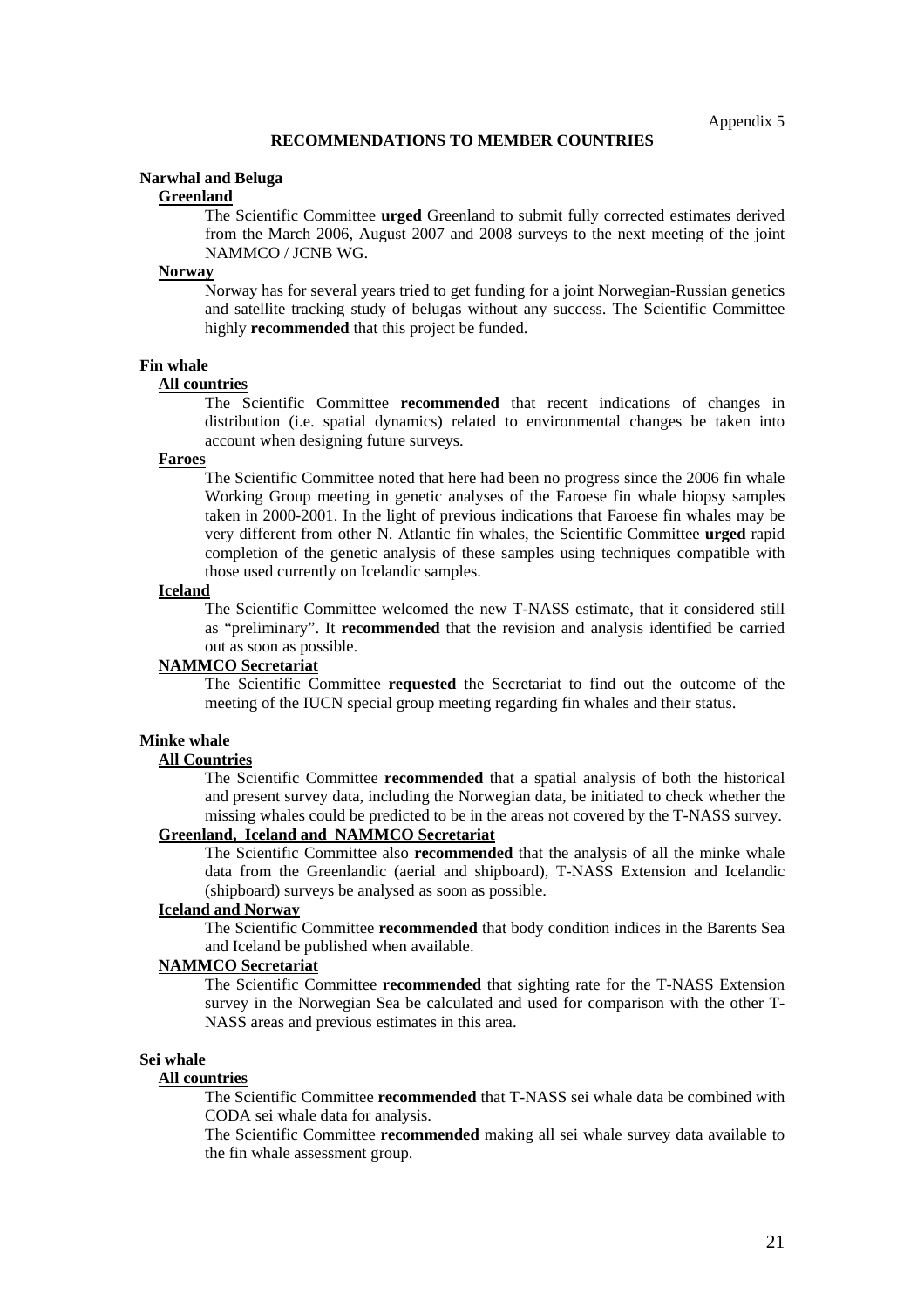### **Narwhal and Beluga**

### **Greenland**

The Scientific Committee **urged** Greenland to submit fully corrected estimates derived from the March 2006, August 2007 and 2008 surveys to the next meeting of the joint NAMMCO / JCNB WG.

#### **Norway**

Norway has for several years tried to get funding for a joint Norwegian-Russian genetics and satellite tracking study of belugas without any success. The Scientific Committee highly **recommended** that this project be funded.

## **Fin whale**

#### **All countries**

The Scientific Committee **recommended** that recent indications of changes in distribution (i.e. spatial dynamics) related to environmental changes be taken into account when designing future surveys.

## **Faroes**

The Scientific Committee noted that here had been no progress since the 2006 fin whale Working Group meeting in genetic analyses of the Faroese fin whale biopsy samples taken in 2000-2001. In the light of previous indications that Faroese fin whales may be very different from other N. Atlantic fin whales, the Scientific Committee **urged** rapid completion of the genetic analysis of these samples using techniques compatible with those used currently on Icelandic samples.

#### **Iceland**

The Scientific Committee welcomed the new T-NASS estimate, that it considered still as "preliminary". It **recommended** that the revision and analysis identified be carried out as soon as possible.

## **NAMMCO Secretariat**

The Scientific Committee **requested** the Secretariat to find out the outcome of the meeting of the IUCN special group meeting regarding fin whales and their status.

#### **Minke whale**

#### **All Countries**

The Scientific Committee **recommended** that a spatial analysis of both the historical and present survey data, including the Norwegian data, be initiated to check whether the missing whales could be predicted to be in the areas not covered by the T-NASS survey.

## **Greenland, Iceland and NAMMCO Secretariat**

The Scientific Committee also **recommended** that the analysis of all the minke whale data from the Greenlandic (aerial and shipboard), T-NASS Extension and Icelandic (shipboard) surveys be analysed as soon as possible.

## **Iceland and Norway**

The Scientific Committee **recommended** that body condition indices in the Barents Sea and Iceland be published when available.

#### **NAMMCO Secretariat**

The Scientific Committee **recommended** that sighting rate for the T-NASS Extension survey in the Norwegian Sea be calculated and used for comparison with the other T-NASS areas and previous estimates in this area.

#### **Sei whale**

### **All countries**

The Scientific Committee **recommended** that T-NASS sei whale data be combined with CODA sei whale data for analysis.

The Scientific Committee **recommended** making all sei whale survey data available to the fin whale assessment group.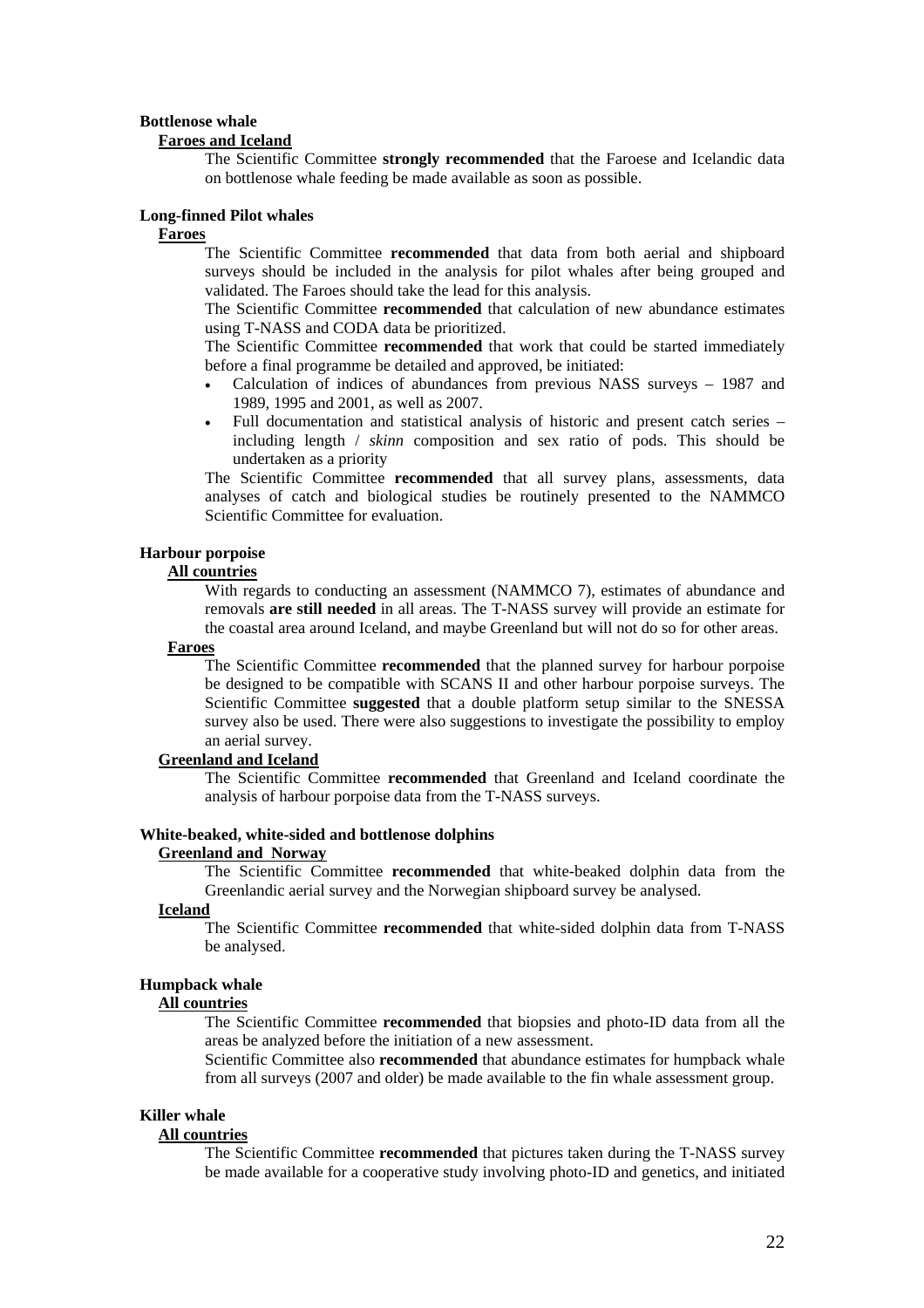## **Bottlenose whale**

## **Faroes and Iceland**

The Scientific Committee **strongly recommended** that the Faroese and Icelandic data on bottlenose whale feeding be made available as soon as possible.

## **Long-finned Pilot whales**

## **Faroes**

The Scientific Committee **recommended** that data from both aerial and shipboard surveys should be included in the analysis for pilot whales after being grouped and validated. The Faroes should take the lead for this analysis.

The Scientific Committee **recommended** that calculation of new abundance estimates using T-NASS and CODA data be prioritized.

The Scientific Committee **recommended** that work that could be started immediately before a final programme be detailed and approved, be initiated:

- Calculation of indices of abundances from previous NASS surveys 1987 and 1989, 1995 and 2001, as well as 2007.
- Full documentation and statistical analysis of historic and present catch series including length / *skinn* composition and sex ratio of pods. This should be undertaken as a priority

The Scientific Committee **recommended** that all survey plans, assessments, data analyses of catch and biological studies be routinely presented to the NAMMCO Scientific Committee for evaluation.

#### **Harbour porpoise**

## **All countries**

With regards to conducting an assessment (NAMMCO 7), estimates of abundance and removals **are still needed** in all areas. The T-NASS survey will provide an estimate for the coastal area around Iceland, and maybe Greenland but will not do so for other areas.

## **Faroes**

The Scientific Committee **recommended** that the planned survey for harbour porpoise be designed to be compatible with SCANS II and other harbour porpoise surveys. The Scientific Committee **suggested** that a double platform setup similar to the SNESSA survey also be used. There were also suggestions to investigate the possibility to employ an aerial survey.

## **Greenland and Iceland**

The Scientific Committee **recommended** that Greenland and Iceland coordinate the analysis of harbour porpoise data from the T-NASS surveys.

#### **White-beaked, white-sided and bottlenose dolphins Greenland and Norway**

The Scientific Committee **recommended** that white-beaked dolphin data from the Greenlandic aerial survey and the Norwegian shipboard survey be analysed.

## **Iceland**

The Scientific Committee **recommended** that white-sided dolphin data from T-NASS be analysed.

#### **Humpback whale**

### **All countries**

The Scientific Committee **recommended** that biopsies and photo-ID data from all the areas be analyzed before the initiation of a new assessment.

Scientific Committee also **recommended** that abundance estimates for humpback whale from all surveys (2007 and older) be made available to the fin whale assessment group.

#### **Killer whale**

#### **All countries**

The Scientific Committee **recommended** that pictures taken during the T-NASS survey be made available for a cooperative study involving photo-ID and genetics, and initiated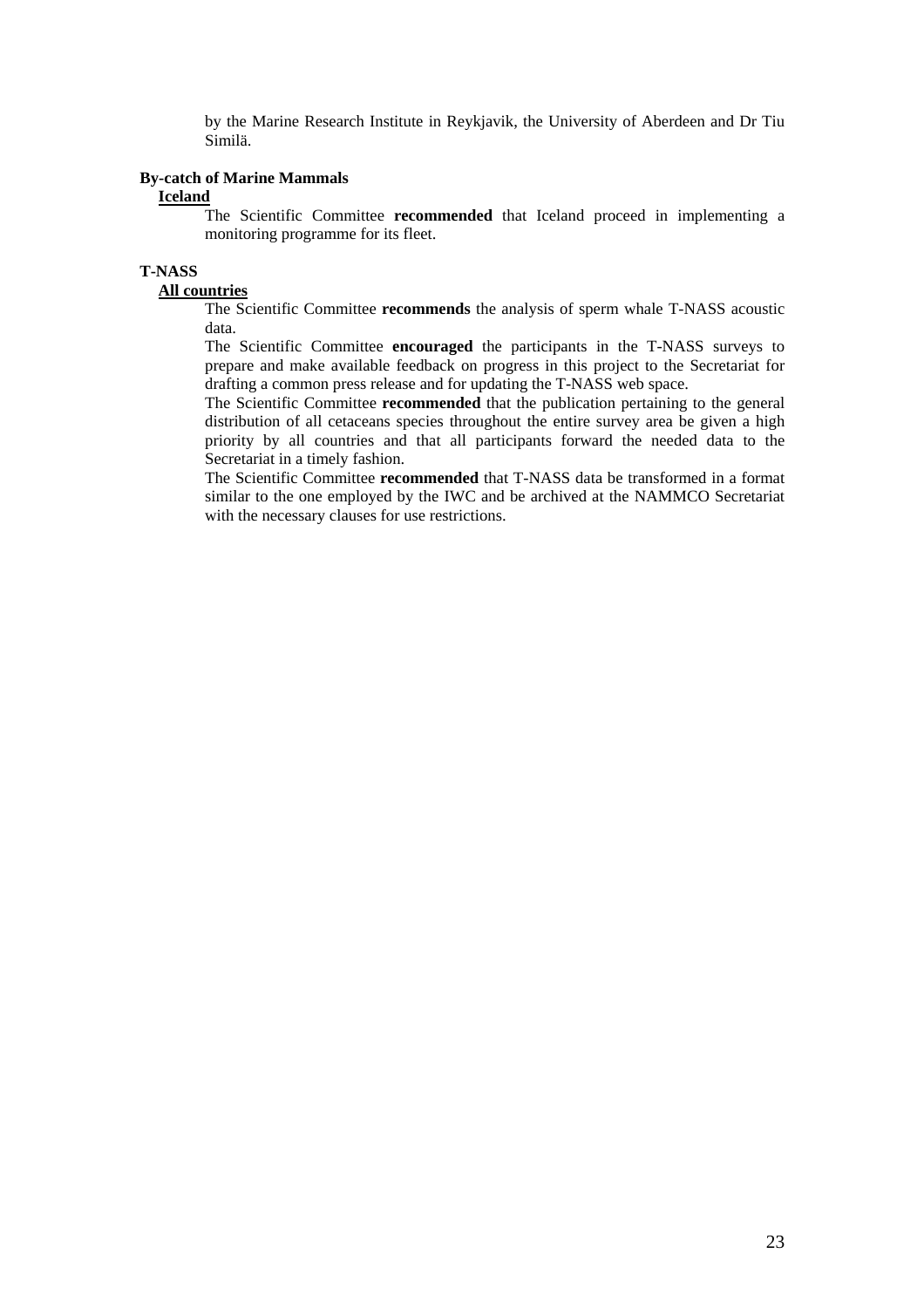by the Marine Research Institute in Reykjavik, the University of Aberdeen and Dr Tiu Similä.

## **By-catch of Marine Mammals**

### **Iceland**

The Scientific Committee **recommended** that Iceland proceed in implementing a monitoring programme for its fleet.

# **T-NASS**

## **All countries**

The Scientific Committee **recommends** the analysis of sperm whale T-NASS acoustic data.

The Scientific Committee **encouraged** the participants in the T-NASS surveys to prepare and make available feedback on progress in this project to the Secretariat for drafting a common press release and for updating the T-NASS web space.

The Scientific Committee **recommended** that the publication pertaining to the general distribution of all cetaceans species throughout the entire survey area be given a high priority by all countries and that all participants forward the needed data to the Secretariat in a timely fashion.

The Scientific Committee **recommended** that T-NASS data be transformed in a format similar to the one employed by the IWC and be archived at the NAMMCO Secretariat with the necessary clauses for use restrictions.